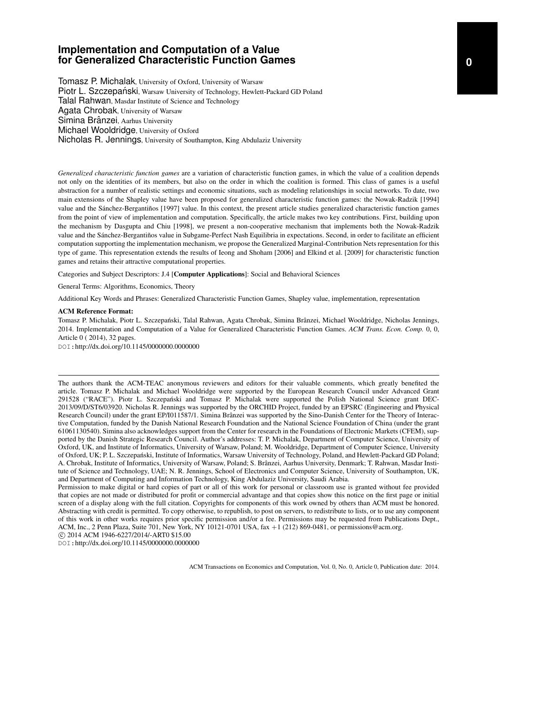# **Implementation and Computation of a Value for Generalized Characteristic Function Games**

Tomasz P. Michalak, University of Oxford, University of Warsaw Piotr L. Szczepański, Warsaw University of Technology, Hewlett-Packard GD Poland Talal Rahwan, Masdar Institute of Science and Technology Agata Chrobak, University of Warsaw Simina Brânzei, Aarhus University Michael Wooldridge, University of Oxford Nicholas R. Jennings, University of Southampton, King Abdulaziz University

*Generalized characteristic function games* are a variation of characteristic function games, in which the value of a coalition depends not only on the identities of its members, but also on the order in which the coalition is formed. This class of games is a useful abstraction for a number of realistic settings and economic situations, such as modeling relationships in social networks. To date, two main extensions of the Shapley value have been proposed for generalized characteristic function games: the Nowak-Radzik [1994] value and the Sánchez-Bergantiños [1997] value. In this context, the present article studies generalized characteristic function games from the point of view of implementation and computation. Specifically, the article makes two key contributions. First, building upon the mechanism by Dasgupta and Chiu [1998], we present a non-cooperative mechanism that implements both the Nowak-Radzik value and the Sánchez-Bergantiños value in Subgame-Perfect Nash Equilibria in expectations. Second, in order to facilitate an efficient computation supporting the implementation mechanism, we propose the Generalized Marginal-Contribution Nets representation for this type of game. This representation extends the results of Ieong and Shoham [2006] and Elkind et al. [2009] for characteristic function games and retains their attractive computational properties.

Categories and Subject Descriptors: J.4 [Computer Applications]: Social and Behavioral Sciences

General Terms: Algorithms, Economics, Theory

Additional Key Words and Phrases: Generalized Characteristic Function Games, Shapley value, implementation, representation

#### ACM Reference Format:

Tomasz P. Michalak, Piotr L. Szczepański, Talal Rahwan, Agata Chrobak, Simina Brânzei, Michael Wooldridge, Nicholas Jennings, 2014. Implementation and Computation of a Value for Generalized Characteristic Function Games. *ACM Trans. Econ. Comp.* 0, 0, Article 0 ( 2014), 32 pages.

DOI:http://dx.doi.org/10.1145/0000000.0000000

The authors thank the ACM-TEAC anonymous reviewers and editors for their valuable comments, which greatly benefited the article. Tomasz P. Michalak and Michael Wooldridge were supported by the European Research Council under Advanced Grant 291528 ("RACE"). Piotr L. Szczepanski and Tomasz P. Michalak were supported the Polish National Science grant DEC- ´ 2013/09/D/ST6/03920. Nicholas R. Jennings was supported by the ORCHID Project, funded by an EPSRC (Engineering and Physical Research Council) under the grant EP/I011587/1. Simina Brânzei was supported by the Sino-Danish Center for the Theory of Interactive Computation, funded by the Danish National Research Foundation and the National Science Foundation of China (under the grant 61061130540). Simina also acknowledges support from the Center for research in the Foundations of Electronic Markets (CFEM), supported by the Danish Strategic Research Council. Author's addresses: T. P. Michalak, Department of Computer Science, University of Oxford, UK, and Institute of Informatics, University of Warsaw, Poland; M. Wooldridge, Department of Computer Science, University of Oxford, UK; P. L. Szczepanski, Institute of Informatics, Warsaw University of Technology, Poland, and Hewlett-Packard GD Poland; ´ A. Chrobak, Institute of Informatics, University of Warsaw, Poland; S. Branzei, Aarhus University, Denmark; T. Rahwan, Masdar Insti- ˆ tute of Science and Technology, UAE; N. R. Jennings, School of Electronics and Computer Science, University of Southampton, UK, and Department of Computing and Information Technology, King Abdulaziz University, Saudi Arabia.

Permission to make digital or hard copies of part or all of this work for personal or classroom use is granted without fee provided that copies are not made or distributed for profit or commercial advantage and that copies show this notice on the first page or initial screen of a display along with the full citation. Copyrights for components of this work owned by others than ACM must be honored. Abstracting with credit is permitted. To copy otherwise, to republish, to post on servers, to redistribute to lists, or to use any component of this work in other works requires prior specific permission and/or a fee. Permissions may be requested from Publications Dept., ACM, Inc., 2 Penn Plaza, Suite 701, New York, NY 10121-0701 USA, fax +1 (212) 869-0481, or permissions@acm.org.

c 2014 ACM 1946-6227/2014/-ART0 \$15.00

DOI:http://dx.doi.org/10.1145/0000000.0000000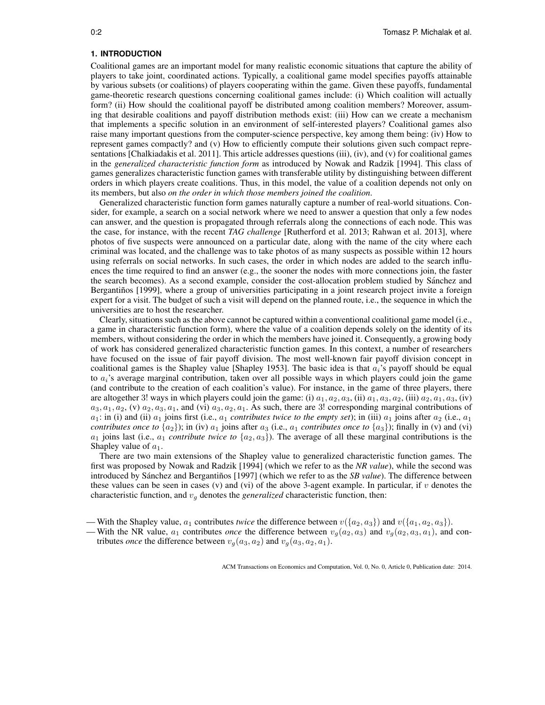### **1. INTRODUCTION**

Coalitional games are an important model for many realistic economic situations that capture the ability of players to take joint, coordinated actions. Typically, a coalitional game model specifies payoffs attainable by various subsets (or coalitions) of players cooperating within the game. Given these payoffs, fundamental game-theoretic research questions concerning coalitional games include: (i) Which coalition will actually form? (ii) How should the coalitional payoff be distributed among coalition members? Moreover, assuming that desirable coalitions and payoff distribution methods exist: (iii) How can we create a mechanism that implements a specific solution in an environment of self-interested players? Coalitional games also raise many important questions from the computer-science perspective, key among them being: (iv) How to represent games compactly? and (v) How to efficiently compute their solutions given such compact representations [Chalkiadakis et al. 2011]. This article addresses questions (iii), (iv), and (v) for coalitional games in the *generalized characteristic function form* as introduced by Nowak and Radzik [1994]. This class of games generalizes characteristic function games with transferable utility by distinguishing between different orders in which players create coalitions. Thus, in this model, the value of a coalition depends not only on its members, but also *on the order in which those members joined the coalition*.

Generalized characteristic function form games naturally capture a number of real-world situations. Consider, for example, a search on a social network where we need to answer a question that only a few nodes can answer, and the question is propagated through referrals along the connections of each node. This was the case, for instance, with the recent *TAG challenge* [Rutherford et al. 2013; Rahwan et al. 2013], where photos of five suspects were announced on a particular date, along with the name of the city where each criminal was located, and the challenge was to take photos of as many suspects as possible within 12 hours using referrals on social networks. In such cases, the order in which nodes are added to the search influences the time required to find an answer (e.g., the sooner the nodes with more connections join, the faster the search becomes). As a second example, consider the cost-allocation problem studied by Sánchez and Bergantiños [1999], where a group of universities participating in a joint research project invite a foreign expert for a visit. The budget of such a visit will depend on the planned route, i.e., the sequence in which the universities are to host the researcher.

Clearly, situations such as the above cannot be captured within a conventional coalitional game model (i.e., a game in characteristic function form), where the value of a coalition depends solely on the identity of its members, without considering the order in which the members have joined it. Consequently, a growing body of work has considered generalized characteristic function games. In this context, a number of researchers have focused on the issue of fair payoff division. The most well-known fair payoff division concept in coalitional games is the Shapley value [Shapley 1953]. The basic idea is that  $a_i$ 's payoff should be equal to  $a_i$ 's average marginal contribution, taken over all possible ways in which players could join the game (and contribute to the creation of each coalition's value). For instance, in the game of three players, there are altogether 3! ways in which players could join the game: (i)  $a_1, a_2, a_3$ , (ii)  $a_1, a_3, a_2$ , (iii)  $a_2, a_1, a_3$ , (iv)  $a_3, a_1, a_2$ , (v)  $a_2, a_3, a_1$ , and (vi)  $a_3, a_2, a_1$ . As such, there are 3! corresponding marginal contributions of  $a_1$ : in (i) and (ii)  $a_1$  joins first (i.e.,  $a_1$  *contributes twice to the empty set*); in (iii)  $a_1$  joins after  $a_2$  (i.e.,  $a_1$ *contributes once to*  $\{a_2\}$ ; in (iv)  $a_1$  joins after  $a_3$  (i.e.,  $a_1$  *contributes once to*  $\{a_3\}$ ; finally in (v) and (vi)  $a_1$  joins last (i.e.,  $a_1$  *contribute twice to*  $\{a_2, a_3\}$ ). The average of all these marginal contributions is the Shapley value of  $a_1$ .

There are two main extensions of the Shapley value to generalized characteristic function games. The first was proposed by Nowak and Radzik [1994] (which we refer to as the *NR value*), while the second was introduced by Sánchez and Bergantiños  $[1997]$  (which we refer to as the *SB value*). The difference between these values can be seen in cases (v) and (vi) of the above 3-agent example. In particular, if v denotes the characteristic function, and  $v<sub>q</sub>$  denotes the *generalized* characteristic function, then:

— With the Shapley value,  $a_1$  contributes *twice* the difference between  $v(\{a_2, a_3\})$  and  $v(\{a_1, a_2, a_3\})$ .

— With the NR value,  $a_1$  contributes *once* the difference between  $v_g(a_2, a_3)$  and  $v_g(a_2, a_3, a_1)$ , and contributes *once* the difference between  $v_g(a_3, a_2)$  and  $v_g(a_3, a_2, a_1)$ .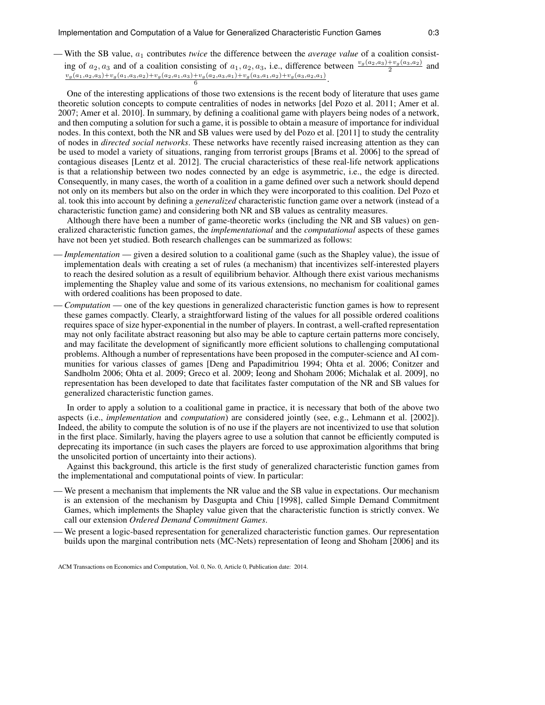$-$  With the SB value,  $a_1$  contributes *twice* the difference between the *average value* of a coalition consisting of  $a_2, a_3$  and of a coalition consisting of  $a_1, a_2, a_3$ , i.e., difference between  $\frac{v_g(a_2,a_3)+v_g(a_3,a_2)}{2}$  and  $\frac{v_g(a_1,a_2,a_3)+v_g(a_1,a_3,a_2)+v_g(a_2,a_1,a_3)+v_g(a_2,a_3,a_1)+v_g(a_3,a_1,a_2)+v_g(a_3,a_2,a_1)}{6}.$ 6

One of the interesting applications of those two extensions is the recent body of literature that uses game theoretic solution concepts to compute centralities of nodes in networks [del Pozo et al. 2011; Amer et al. 2007; Amer et al. 2010]. In summary, by defining a coalitional game with players being nodes of a network, and then computing a solution for such a game, it is possible to obtain a measure of importance for individual nodes. In this context, both the NR and SB values were used by del Pozo et al. [2011] to study the centrality of nodes in *directed social networks*. These networks have recently raised increasing attention as they can be used to model a variety of situations, ranging from terrorist groups [Brams et al. 2006] to the spread of contagious diseases [Lentz et al. 2012]. The crucial characteristics of these real-life network applications is that a relationship between two nodes connected by an edge is asymmetric, i.e., the edge is directed. Consequently, in many cases, the worth of a coalition in a game defined over such a network should depend not only on its members but also on the order in which they were incorporated to this coalition. Del Pozo et al. took this into account by defining a *generalized* characteristic function game over a network (instead of a characteristic function game) and considering both NR and SB values as centrality measures.

Although there have been a number of game-theoretic works (including the NR and SB values) on generalized characteristic function games, the *implementational* and the *computational* aspects of these games have not been yet studied. Both research challenges can be summarized as follows:

- *Implementation* given a desired solution to a coalitional game (such as the Shapley value), the issue of implementation deals with creating a set of rules (a mechanism) that incentivizes self-interested players to reach the desired solution as a result of equilibrium behavior. Although there exist various mechanisms implementing the Shapley value and some of its various extensions, no mechanism for coalitional games with ordered coalitions has been proposed to date.
- *Computation* one of the key questions in generalized characteristic function games is how to represent these games compactly. Clearly, a straightforward listing of the values for all possible ordered coalitions requires space of size hyper-exponential in the number of players. In contrast, a well-crafted representation may not only facilitate abstract reasoning but also may be able to capture certain patterns more concisely, and may facilitate the development of significantly more efficient solutions to challenging computational problems. Although a number of representations have been proposed in the computer-science and AI communities for various classes of games [Deng and Papadimitriou 1994; Ohta et al. 2006; Conitzer and Sandholm 2006; Ohta et al. 2009; Greco et al. 2009; Ieong and Shoham 2006; Michalak et al. 2009], no representation has been developed to date that facilitates faster computation of the NR and SB values for generalized characteristic function games.

In order to apply a solution to a coalitional game in practice, it is necessary that both of the above two aspects (i.e., *implementation* and *computation*) are considered jointly (see, e.g., Lehmann et al. [2002]). Indeed, the ability to compute the solution is of no use if the players are not incentivized to use that solution in the first place. Similarly, having the players agree to use a solution that cannot be efficiently computed is deprecating its importance (in such cases the players are forced to use approximation algorithms that bring the unsolicited portion of uncertainty into their actions).

Against this background, this article is the first study of generalized characteristic function games from the implementational and computational points of view. In particular:

- We present a mechanism that implements the NR value and the SB value in expectations. Our mechanism is an extension of the mechanism by Dasgupta and Chiu [1998], called Simple Demand Commitment Games, which implements the Shapley value given that the characteristic function is strictly convex. We call our extension *Ordered Demand Commitment Games*.
- We present a logic-based representation for generalized characteristic function games. Our representation builds upon the marginal contribution nets (MC-Nets) representation of Ieong and Shoham [2006] and its

ACM Transactions on Economics and Computation, Vol. 0, No. 0, Article 0, Publication date: 2014.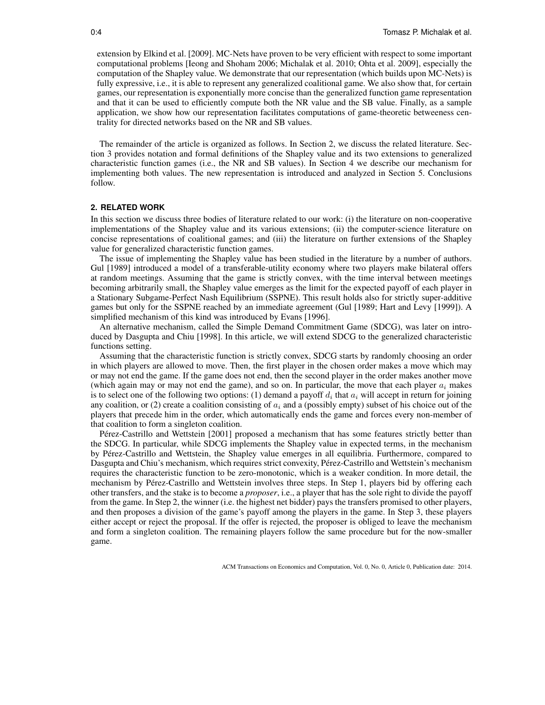extension by Elkind et al. [2009]. MC-Nets have proven to be very efficient with respect to some important computational problems [Ieong and Shoham 2006; Michalak et al. 2010; Ohta et al. 2009], especially the computation of the Shapley value. We demonstrate that our representation (which builds upon MC-Nets) is fully expressive, i.e., it is able to represent any generalized coalitional game. We also show that, for certain games, our representation is exponentially more concise than the generalized function game representation and that it can be used to efficiently compute both the NR value and the SB value. Finally, as a sample application, we show how our representation facilitates computations of game-theoretic betweeness centrality for directed networks based on the NR and SB values.

The remainder of the article is organized as follows. In Section 2, we discuss the related literature. Section 3 provides notation and formal definitions of the Shapley value and its two extensions to generalized characteristic function games (i.e., the NR and SB values). In Section 4 we describe our mechanism for implementing both values. The new representation is introduced and analyzed in Section 5. Conclusions follow.

### **2. RELATED WORK**

In this section we discuss three bodies of literature related to our work: (i) the literature on non-cooperative implementations of the Shapley value and its various extensions; (ii) the computer-science literature on concise representations of coalitional games; and (iii) the literature on further extensions of the Shapley value for generalized characteristic function games.

The issue of implementing the Shapley value has been studied in the literature by a number of authors. Gul [1989] introduced a model of a transferable-utility economy where two players make bilateral offers at random meetings. Assuming that the game is strictly convex, with the time interval between meetings becoming arbitrarily small, the Shapley value emerges as the limit for the expected payoff of each player in a Stationary Subgame-Perfect Nash Equilibrium (SSPNE). This result holds also for strictly super-additive games but only for the SSPNE reached by an immediate agreement (Gul [1989; Hart and Levy [1999]). A simplified mechanism of this kind was introduced by Evans [1996].

An alternative mechanism, called the Simple Demand Commitment Game (SDCG), was later on introduced by Dasgupta and Chiu [1998]. In this article, we will extend SDCG to the generalized characteristic functions setting.

Assuming that the characteristic function is strictly convex, SDCG starts by randomly choosing an order in which players are allowed to move. Then, the first player in the chosen order makes a move which may or may not end the game. If the game does not end, then the second player in the order makes another move (which again may or may not end the game), and so on. In particular, the move that each player  $a_i$  makes is to select one of the following two options: (1) demand a payoff  $d_i$  that  $a_i$  will accept in return for joining any coalition, or (2) create a coalition consisting of  $a_i$  and a (possibly empty) subset of his choice out of the players that precede him in the order, which automatically ends the game and forces every non-member of that coalition to form a singleton coalition.

Perez-Castrillo and Wettstein [2001] proposed a mechanism that has some features strictly better than ´ the SDCG. In particular, while SDCG implements the Shapley value in expected terms, in the mechanism by Pérez-Castrillo and Wettstein, the Shapley value emerges in all equilibria. Furthermore, compared to Dasgupta and Chiu's mechanism, which requires strict convexity, Pérez-Castrillo and Wettstein's mechanism requires the characteristic function to be zero-monotonic, which is a weaker condition. In more detail, the mechanism by Pérez-Castrillo and Wettstein involves three steps. In Step 1, players bid by offering each other transfers, and the stake is to become a *proposer*, i.e., a player that has the sole right to divide the payoff from the game. In Step 2, the winner (i.e. the highest net bidder) pays the transfers promised to other players, and then proposes a division of the game's payoff among the players in the game. In Step 3, these players either accept or reject the proposal. If the offer is rejected, the proposer is obliged to leave the mechanism and form a singleton coalition. The remaining players follow the same procedure but for the now-smaller game.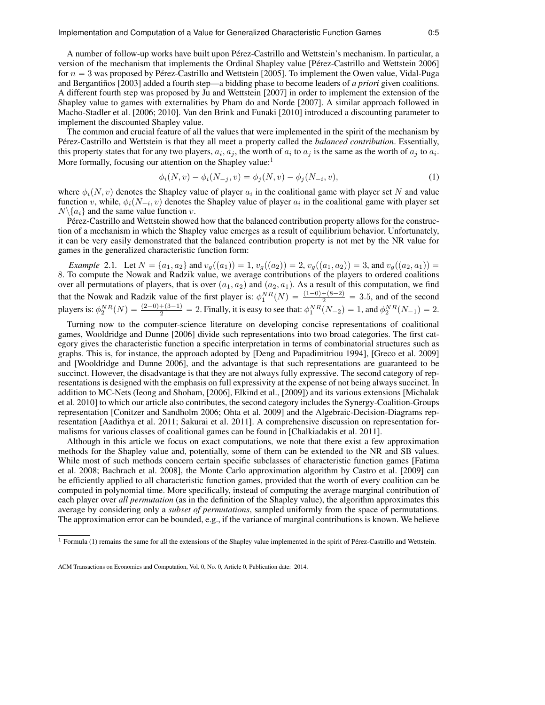A number of follow-up works have built upon Pérez-Castrillo and Wettstein's mechanism. In particular, a version of the mechanism that implements the Ordinal Shapley value [Pérez-Castrillo and Wettstein 2006] for  $n = 3$  was proposed by Pérez-Castrillo and Wettstein [2005]. To implement the Owen value, Vidal-Puga and Bergantiños [2003] added a fourth step—a bidding phase to become leaders of *a priori* given coalitions. A different fourth step was proposed by Ju and Wettstein [2007] in order to implement the extension of the Shapley value to games with externalities by Pham do and Norde [2007]. A similar approach followed in Macho-Stadler et al. [2006; 2010]. Van den Brink and Funaki [2010] introduced a discounting parameter to implement the discounted Shapley value.

The common and crucial feature of all the values that were implemented in the spirit of the mechanism by Pérez-Castrillo and Wettstein is that they all meet a property called the *balanced contribution*. Essentially, this property states that for any two players,  $a_i$ ,  $a_j$ , the worth of  $a_i$  to  $a_j$  is the same as the worth of  $a_j$  to  $a_i$ . More formally, focusing our attention on the Shapley value:<sup>1</sup>

$$
\phi_i(N, v) - \phi_i(N_{-j}, v) = \phi_j(N, v) - \phi_j(N_{-i}, v),
$$
\n(1)

where  $\phi_i(N, v)$  denotes the Shapley value of player  $a_i$  in the coalitional game with player set N and value function v, while,  $\phi_i(N_{-i}, v)$  denotes the Shapley value of player  $a_i$  in the coalitional game with player set  $N \setminus \{a_i\}$  and the same value function v.

Perez-Castrillo and Wettstein showed how that the balanced contribution property allows for the construc- ´ tion of a mechanism in which the Shapley value emerges as a result of equilibrium behavior. Unfortunately, it can be very easily demonstrated that the balanced contribution property is not met by the NR value for games in the generalized characteristic function form:

*Example* 2.1. Let  $N = \{a_1, a_2\}$  and  $v_g((a_1)) = 1$ ,  $v_g((a_2)) = 2$ ,  $v_g((a_1, a_2)) = 3$ , and  $v_g((a_2, a_1)) = 3$ 8. To compute the Nowak and Radzik value, we average contributions of the players to ordered coalitions over all permutations of players, that is over  $(a_1, a_2)$  and  $(a_2, a_1)$ . As a result of this computation, we find that the Nowak and Radzik value of the first player is:  $\phi_1^{NR}(N) = \frac{(1-0)+(8-2)}{2} = 3.5$ , and of the second players is:  $\phi_2^{NR}(N) = \frac{(2-0)+(3-1)}{2} = 2$ . Finally, it is easy to see that:  $\phi_1^{NR}(N_{-2}) = 1$ , and  $\phi_2^{NR}(N_{-1}) = 2$ .

Turning now to the computer-science literature on developing concise representations of coalitional games, Wooldridge and Dunne [2006] divide such representations into two broad categories. The first category gives the characteristic function a specific interpretation in terms of combinatorial structures such as graphs. This is, for instance, the approach adopted by [Deng and Papadimitriou 1994], [Greco et al. 2009] and [Wooldridge and Dunne 2006], and the advantage is that such representations are guaranteed to be succinct. However, the disadvantage is that they are not always fully expressive. The second category of representations is designed with the emphasis on full expressivity at the expense of not being always succinct. In addition to MC-Nets (Ieong and Shoham, [2006], Elkind et al., [2009]) and its various extensions [Michalak et al. 2010] to which our article also contributes, the second category includes the Synergy-Coalition-Groups representation [Conitzer and Sandholm 2006; Ohta et al. 2009] and the Algebraic-Decision-Diagrams representation [Aadithya et al. 2011; Sakurai et al. 2011]. A comprehensive discussion on representation formalisms for various classes of coalitional games can be found in [Chalkiadakis et al. 2011].

Although in this article we focus on exact computations, we note that there exist a few approximation methods for the Shapley value and, potentially, some of them can be extended to the NR and SB values. While most of such methods concern certain specific subclasses of characteristic function games [Fatima et al. 2008; Bachrach et al. 2008], the Monte Carlo approximation algorithm by Castro et al. [2009] can be efficiently applied to all characteristic function games, provided that the worth of every coalition can be computed in polynomial time. More specifically, instead of computing the average marginal contribution of each player over *all permutation* (as in the definition of the Shapley value), the algorithm approximates this average by considering only a *subset of permutations*, sampled uniformly from the space of permutations. The approximation error can be bounded, e.g., if the variance of marginal contributions is known. We believe

 $1$  Formula (1) remains the same for all the extensions of the Shapley value implemented in the spirit of Pérez-Castrillo and Wettstein.

ACM Transactions on Economics and Computation, Vol. 0, No. 0, Article 0, Publication date: 2014.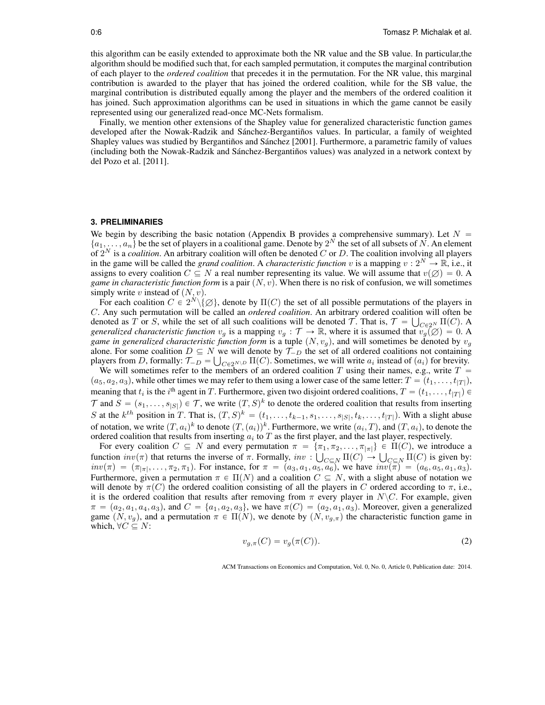this algorithm can be easily extended to approximate both the NR value and the SB value. In particular,the algorithm should be modified such that, for each sampled permutation, it computes the marginal contribution of each player to the *ordered coalition* that precedes it in the permutation. For the NR value, this marginal contribution is awarded to the player that has joined the ordered coalition, while for the SB value, the marginal contribution is distributed equally among the player and the members of the ordered coalition it has joined. Such approximation algorithms can be used in situations in which the game cannot be easily represented using our generalized read-once MC-Nets formalism.

Finally, we mention other extensions of the Shapley value for generalized characteristic function games developed after the Nowak-Radzik and Sánchez-Bergantiños values. In particular, a family of weighted Shapley values was studied by Bergantiños and Sánchez [2001]. Furthermore, a parametric family of values (including both the Nowak-Radzik and Sánchez-Bergantiños values) was analyzed in a network context by del Pozo et al. [2011].

#### **3. PRELIMINARIES**

We begin by describing the basic notation (Appendix B provides a comprehensive summary). Let  $N =$  $\{a_1, \ldots, a_n\}$  be the set of players in a coalitional game. Denote by  $2^N$  the set of all subsets of N. An element of  $2^N$  is a *coalition*. An arbitrary coalition will often be denoted C or D. The coalition involving all players in the game will be called the *grand coalition*. A *characteristic function* v is a mapping  $v : 2^N \to \mathbb{R}$ , i.e., it assigns to every coalition  $C \subseteq N$  a real number representing its value. We will assume that  $v(\emptyset) = 0$ . *game in characteristic function form* is a pair  $(N, v)$ . When there is no risk of confusion, we will sometimes simply write v instead of  $(N, v)$ .

For each coalition  $C \in 2^N \setminus \{ \emptyset \}$ , denote by  $\Pi(C)$  the set of all possible permutations of the players in C. Any such permutation will be called an *ordered coalition*. An arbitrary ordered coalition will often be Ť denoted as T or S, while the set of all such coalitions will be denoted T. That is,  $\mathcal{T} = \bigcup_{C \in \mathcal{Z}^N} \Pi(C)$ . A *generalized characteristic function*  $v_g$  is a mapping  $v_g : \mathcal{T} \to \mathbb{R}$ , where it is assumed that  $v_g(\emptyset) = 0$ . A *game in generalized characteristic function form* is a tuple  $(N, v_g)$ , and will sometimes be denoted by  $v_g$ alone. For some coalition  $D \subseteq N$  we will denote by  $\mathcal{T}_{-D}$  the set of all ordered coalitions not containing players from D, formally:  $\mathcal{T}_{-D} = \bigcup_{C \in 2^{N \setminus D}} \Pi(C)$ . Sometimes, we will write  $a_i$  instead of  $(a_i)$  for brevity.

We will sometimes refer to the members of an ordered coalition T using their names, e.g., write  $T =$  $(a_5, a_2, a_3)$ , while other times we may refer to them using a lower case of the same letter:  $T = (t_1, \ldots, t_{|T|})$ , meaning that  $t_i$  is the  $i^{\text{th}}$  agent in T. Furthermore, given two disjoint ordered coalitions,  $T = (t_1, \ldots, t_{|T|}) \in$  $\mathcal T$  and  $S = (s_1, \ldots, s_{|S|}) \in \mathcal T$ , we write  $(T, S)^k$  to denote the ordered coalition that results from inserting S at the  $k^{th}$  position in T. That is,  $(T, S)^k = (t_1, \ldots, t_{k-1}, s_1, \ldots, s_{|S|}, t_k, \ldots, t_{|T|})$ . With a slight abuse of notation, we write  $(T, a_i)^k$  to denote  $(T, (a_i))^k$ . Furthermore, we write  $(a_i, T)$ , and  $(T, a_i)$ , to denote the ordered coalition that results from inserting  $a_i$  to  $T$  as the first player, and the last player, respectively.

For every coalition  $C \subseteq N$  and every permutation  $\pi = {\pi_1, \pi_2, \ldots, \pi_{|\pi|}} \in \Pi(C)$ , we introduce a function  $inv(\pi)$  that returns the inverse of  $\pi$ . Formally,  $inv$ :  $\{\pi_1, \pi_2, \dots, \pi_{|\pi|}\} \in \Pi(C)$ , we introduce a  $\bigcup_{C \subseteq N} \Pi(C) \to \bigcup_{C \subseteq N} \Pi(C)$  is given by:  $inv(\pi) = (\pi_{|\pi|}, \ldots, \pi_2, \pi_1)$ . For instance, for  $\pi = (a_3, a_1, a_5, a_6)$ , we have  $inv(\pi) = (a_6, a_5, a_1, a_3)$ . Furthermore, given a permutation  $\pi \in \Pi(N)$  and a coalition  $C \subseteq N$ , with a slight abuse of notation we will denote by  $\pi(C)$  the ordered coalition consisting of all the players in C ordered according to  $\pi$ , i.e., it is the ordered coalition that results after removing from  $\pi$  every player in  $N\setminus C$ . For example, given  $\pi = (a_2, a_1, a_4, a_3)$ , and  $C = \{a_1, a_2, a_3\}$ , we have  $\pi(C) = (a_2, a_1, a_3)$ . Moreover, given a generalized game  $(N, v_q)$ , and a permutation  $\pi \in \Pi(N)$ , we denote by  $(N, v_{q,\pi})$  the characteristic function game in which,  $\forall C \subseteq N$ :

$$
v_{g,\pi}(C) = v_g(\pi(C)).\tag{2}
$$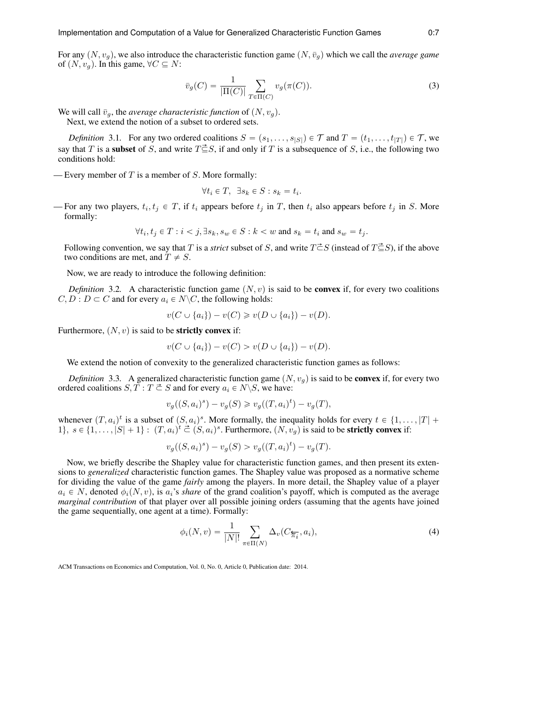For any  $(N, v_g)$ , we also introduce the characteristic function game  $(N, \bar{v}_g)$  which we call the *average game* of  $(N, v_g)$ . In this game,  $\forall C \subseteq N$ :

$$
\bar{v}_g(C) = \frac{1}{|\Pi(C)|} \sum_{T \in \Pi(C)} v_g(\pi(C)).
$$
\n(3)

.

We will call  $\bar{v}_q$ , the *average characteristic function* of  $(N, v_q)$ .

Next, we extend the notion of a subset to ordered sets.

*Definition* 3.1. For any two ordered coalitions  $S = (s_1, \ldots, s_{|S|}) \in \mathcal{T}$  and  $T = (t_1, \ldots, t_{|T|}) \in \mathcal{T}$ , we say that T is a subset of S, and write  $T\vec{\subseteq}S$ , if and only if T is a subsequence of S, i.e., the following two conditions hold:

— Every member of  $T$  is a member of  $S$ . More formally:

$$
\forall t_i \in T, \ \exists s_k \in S : s_k = t_i
$$

— For any two players,  $t_i, t_j \in T$ , if  $t_i$  appears before  $t_j$  in T, then  $t_i$  also appears before  $t_j$  in S. More formally:

$$
\forall t_i, t_j \in T : i < j, \exists s_k, s_w \in S : k < w \text{ and } s_k = t_i \text{ and } s_w = t_j.
$$

Following convention, we say that T is a *strict* subset of S, and write  $T\vec{\subset}S$  (instead of  $T\vec{\subseteq}S$ ), if the above two conditions are met, and  $T \neq S$ .

Now, we are ready to introduce the following definition:

*Definition* 3.2. A characteristic function game  $(N, v)$  is said to be **convex** if, for every two coalitions  $C, D : D \subset C$  and for every  $a_i \in N \backslash C$ , the following holds:

$$
v(C \cup \{a_i\}) - v(C) \geq v(D \cup \{a_i\}) - v(D).
$$

Furthermore,  $(N, v)$  is said to be **strictly convex** if:

$$
v(C \cup \{a_i\}) - v(C) > v(D \cup \{a_i\}) - v(D).
$$

We extend the notion of convexity to the generalized characteristic function games as follows:

*Definition* 3.3. A generalized characteristic function game  $(N, v_q)$  is said to be **convex** if, for every two ordered coalitions  $S, T : T \stackrel{\text{d}}{\subset} S$  and for every  $a_i \in N \backslash S$ , we have:

$$
v_g((S, a_i)^s) - v_g(S) \ge v_g((T, a_i)^t) - v_g(T),
$$

whenever  $(T, a_i)^t$  is a subset of  $(S, a_i)^s$ . More formally, the inequality holds for every  $t \in \{1, ..., |T| + \}$ 1,  $s \in \{1, \ldots, |S| + 1\}$ :  $(T, a_i)^t \subset (S, a_i)^s$ . Furthermore,  $(N, v_g)$  is said to be **strictly convex** if:

$$
v_g((S, a_i)^s) - v_g(S) > v_g((T, a_i)^t) - v_g(T).
$$

Now, we briefly describe the Shapley value for characteristic function games, and then present its extensions to *generalized* characteristic function games. The Shapley value was proposed as a normative scheme for dividing the value of the game *fairly* among the players. In more detail, the Shapley value of a player  $a_i \in N$ , denoted  $\phi_i(N, v)$ , is  $a_i$ 's *share* of the grand coalition's payoff, which is computed as the average *marginal contribution* of that player over all possible joining orders (assuming that the agents have joined the game sequentially, one agent at a time). Formally:

$$
\phi_i(N, v) = \frac{1}{|N|!} \sum_{\pi \in \Pi(N)} \Delta_v(C_{\overline{\pi_i}}, a_i), \tag{4}
$$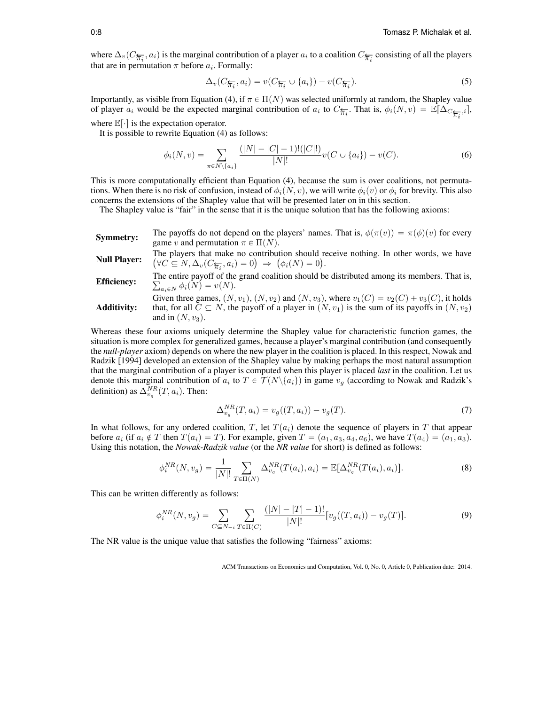where  $\Delta_v(C_{\overline{\pi_i}}, a_i)$  is the marginal contribution of a player  $a_i$  to a coalition  $C_{\overline{\pi_i}}$  consisting of all the players that are in permutation  $\pi$  before  $a_i$ . Formally:

$$
\Delta_v(C_{\overleftarrow{\mathcal{H}_i}}, a_i) = v(C_{\overleftarrow{\mathcal{H}_i}} \cup \{a_i\}) - v(C_{\overleftarrow{\mathcal{H}_i}}). \tag{5}
$$

Importantly, as visible from Equation (4), if  $\pi \in \Pi(N)$  was selected uniformly at random, the Shapley value of player  $a_i$  would be the expected marginal contribution of  $a_i$  to  $C_{\overline{\pi_i}}$ . That is,  $\phi_i(N, v) = \mathbb{E}[\Delta c_{\overline{\pi_i}}, i]$ ,

where  $\mathbb{E}[\cdot]$  is the expectation operator.

It is possible to rewrite Equation (4) as follows:

$$
\phi_i(N, v) = \sum_{\pi \in N \setminus \{a_i\}} \frac{(|N| - |C| - 1)! (|C|!)}{|N|!} v(C \cup \{a_i\}) - v(C). \tag{6}
$$

This is more computationally efficient than Equation (4), because the sum is over coalitions, not permutations. When there is no risk of confusion, instead of  $\phi_i(N, v)$ , we will write  $\phi_i(v)$  or  $\phi_i$  for brevity. This also concerns the extensions of the Shapley value that will be presented later on in this section.

The Shapley value is "fair" in the sense that it is the unique solution that has the following axioms:

| <b>Symmetry:</b>    | The payoffs do not depend on the players' names. That is, $\phi(\pi(v)) = \pi(\phi)(v)$ for every<br>game v and permutation $\pi \in \Pi(N)$ .                                                                                                 |  |  |
|---------------------|------------------------------------------------------------------------------------------------------------------------------------------------------------------------------------------------------------------------------------------------|--|--|
| <b>Null Player:</b> | The players that make no contribution should receive nothing. In other words, we have<br>$(\forall C \subseteq N, \Delta_v(C_{\overleftarrow{\pi_i}}, a_i) = 0) \Rightarrow (\phi_i(N) = 0).$                                                  |  |  |
| <b>Efficiency:</b>  | The entire payoff of the grand coalition should be distributed among its members. That is,<br>$\sum_{a_i \in N} \phi_i(N) = v(N).$                                                                                                             |  |  |
| <b>Additivity:</b>  | Given three games, $(N, v_1)$ , $(N, v_2)$ and $(N, v_3)$ , where $v_1(C) = v_2(C) + v_3(C)$ , it holds<br>that, for all $C \subseteq N$ , the payoff of a player in $(N, v_1)$ is the sum of its payoffs in $(N, v_2)$<br>and in $(N, v_3)$ . |  |  |

Whereas these four axioms uniquely determine the Shapley value for characteristic function games, the situation is more complex for generalized games, because a player's marginal contribution (and consequently the *null-player* axiom) depends on where the new player in the coalition is placed. In this respect, Nowak and Radzik [1994] developed an extension of the Shapley value by making perhaps the most natural assumption that the marginal contribution of a player is computed when this player is placed *last* in the coalition. Let us denote this marginal contribution of  $a_i$  to  $T \in \mathcal{T}(N \setminus \{a_i\})$  in game  $v_g$  (according to Nowak and Radzik's definition) as  $\Delta_{v_g}^{NR}(T, a_i)$ . Then:

$$
\Delta_{v_g}^{NR}(T, a_i) = v_g((T, a_i)) - v_g(T). \tag{7}
$$

In what follows, for any ordered coalition, T, let  $T(a_i)$  denote the sequence of players in T that appear before  $a_i$  (if  $a_i \notin T$  then  $T(a_i) = T$ ). For example, given  $T = (a_1, a_3, a_4, a_6)$ , we have  $T(a_4) = (a_1, a_3)$ . Using this notation, the *Nowak-Radzik value* (or the *NR value* for short) is defined as follows:

$$
\phi_i^{NR}(N, v_g) = \frac{1}{|N|!} \sum_{T \in \Pi(N)} \Delta_{v_g}^{NR}(T(a_i), a_i) = \mathbb{E}[\Delta_{v_g}^{NR}(T(a_i), a_i)]. \tag{8}
$$

This can be written differently as follows:

$$
\phi_i^{NR}(N, v_g) = \sum_{C \subseteq N_{-i}} \sum_{T \in \Pi(C)} \frac{(|N| - |T| - 1)!}{|N|!} [v_g((T, a_i)) - v_g(T)].
$$
\n(9)

The NR value is the unique value that satisfies the following "fairness" axioms: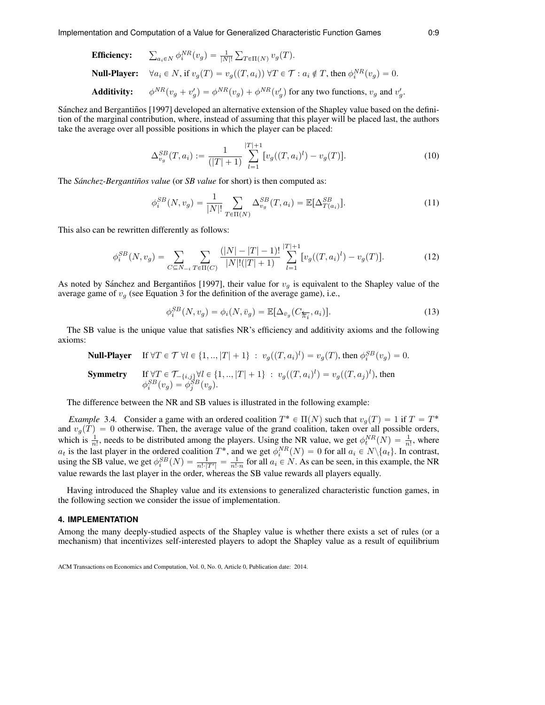Implementation and Computation of a Value for Generalized Characteristic Function Games 0:9

| <b>Efficiency:</b>  | \n $\sum_{a_i \in N} \phi_i^{NR}(v_g) = \frac{1}{ N !} \sum_{T \in \Pi(N)} v_g(T).$ \n                                                        |
|---------------------|-----------------------------------------------------------------------------------------------------------------------------------------------|
| <b>Null-Player:</b> | \n $\forall a_i \in N, \text{ if } v_g(T) = v_g((T, a_i)) \,\forall T \in \mathcal{T} : a_i \notin T, \text{ then } \phi_i^{NR}(v_g) = 0.$ \n |
| <b>Additivity:</b>  | \n $\phi^{NR}(v_g + v'_g) = \phi^{NR}(v_g) + \phi^{NR}(v'_g) \text{ for any two functions, } v_g \text{ and } v'_g.$ \n                       |

Sánchez and Bergantiños [1997] developed an alternative extension of the Shapley value based on the definition of the marginal contribution, where, instead of assuming that this player will be placed last, the authors take the average over all possible positions in which the player can be placed:

$$
\Delta_{v_g}^{SB}(T, a_i) := \frac{1}{(|T|+1)} \sum_{l=1}^{|T|+1} [v_g((T, a_i)^l) - v_g(T)].
$$
\n(10)

The *Sánchez-Bergantiños value* (or *SB value* for short) is then computed as:

$$
\phi_i^{SB}(N, v_g) = \frac{1}{|N|!} \sum_{T \in \Pi(N)} \Delta_{v_g}^{SB}(T, a_i) = \mathbb{E}[\Delta_{T(a_i)}^{SB}].
$$
\n(11)

This also can be rewritten differently as follows:

$$
\phi_i^{SB}(N, v_g) = \sum_{C \subseteq N_{-i}} \sum_{T \in \Pi(C)} \frac{(|N| - |T| - 1)!}{|N|!(|T| + 1)} \sum_{l=1}^{|T| + 1} [v_g((T, a_i)^l) - v_g(T)]. \tag{12}
$$

As noted by Sánchez and Bergantiños [1997], their value for  $v<sub>g</sub>$  is equivalent to the Shapley value of the average game of  $v<sub>q</sub>$  (see Equation 3 for the definition of the average game), i.e.,

$$
\phi_i^{SB}(N, v_g) = \phi_i(N, \bar{v}_g) = \mathbb{E}[\Delta_{\bar{v}_g}(C_{\overleftarrow{\mathcal{H}_i}}, a_i)]. \tag{13}
$$

The SB value is the unique value that satisfies NR's efficiency and additivity axioms and the following axioms:

**Null-Player** If 
$$
\forall T \in \mathcal{T} \forall l \in \{1, ..., |T| + 1\}
$$
 :  $v_g((T, a_i)^l) = v_g(T)$ , then  $\phi_i^{SB}(v_g) = 0$ .  
\n**Symmetry** If  $\forall T \in \mathcal{T}_{-\{i,j\}} \forall l \in \{1, ..., |T| + 1\}$  :  $v_g((T, a_i)^l) = v_g((T, a_j)^l)$ , then  $\phi_i^{SB}(v_g) = \phi_j^{SB}(v_g)$ .

The difference between the NR and SB values is illustrated in the following example:

*Example* 3.4. Consider a game with an ordered coalition  $T^* \in \Pi(N)$  such that  $v_g(T) = 1$  if  $T = T^*$ and  $v_g(T) = 0$  otherwise. Then, the average value of the grand coalition, taken over all possible orders, which is  $\frac{1}{n!}$ , needs to be distributed among the players. Using the NR value, we get  $\phi_t^{NR}(N) = \frac{1}{n!}$ , where  $a_t$  is the last player in the ordered coalition  $T^*$ , and we get  $\phi_i^{NR}(N) = 0$  for all  $a_i \in N \setminus \{a_t\}$ . In contrast, using the SB value, we get  $\phi_i^{SB}(N) = \frac{1}{n! \cdot |T'|} = \frac{1}{n! \cdot n}$  for all  $a_i \in N$ . As can be seen, in this example, the NR value rewards the last player in the order, whereas the SB value rewards all players equally.

Having introduced the Shapley value and its extensions to generalized characteristic function games, in the following section we consider the issue of implementation.

## **4. IMPLEMENTATION**

Among the many deeply-studied aspects of the Shapley value is whether there exists a set of rules (or a mechanism) that incentivizes self-interested players to adopt the Shapley value as a result of equilibrium

ACM Transactions on Economics and Computation, Vol. 0, No. 0, Article 0, Publication date: 2014.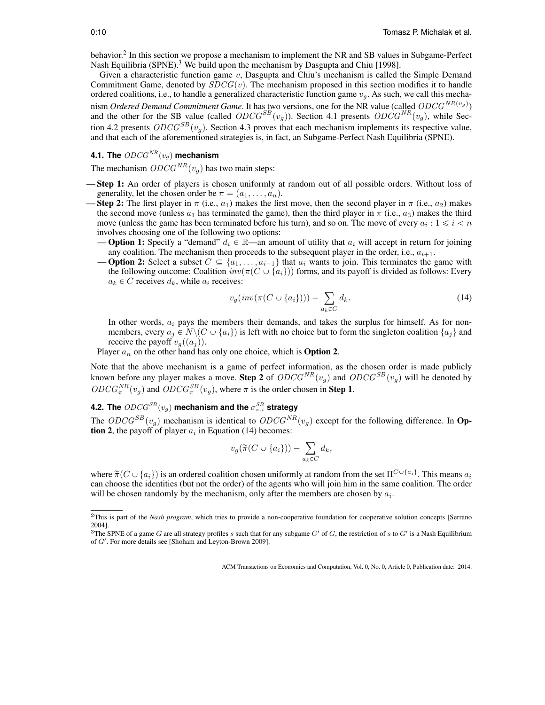behavior.<sup>2</sup> In this section we propose a mechanism to implement the NR and SB values in Subgame-Perfect Nash Equilibria (SPNE).<sup>3</sup> We build upon the mechanism by Dasgupta and Chiu [1998].

Given a characteristic function game  $v$ , Dasgupta and Chiu's mechanism is called the Simple Demand Commitment Game, denoted by  $SDCG(v)$ . The mechanism proposed in this section modifies it to handle ordered coalitions, i.e., to handle a generalized characteristic function game  $v_q$ . As such, we call this mechanism *Ordered Demand Commitment Game*. It has two versions, one for the NR value (called  $ODCG^{NR(v_g)}$ ) and the other for the SB value (called  $ODCG^{SB}(v_g)$ ). Section 4.1 presents  $ODCG^{NR}(v_g)$ , while Section 4.2 presents  $ODCG^{SB}(v_q)$ . Section 4.3 proves that each mechanism implements its respective value, and that each of the aforementioned strategies is, in fact, an Subgame-Perfect Nash Equilibria (SPNE).

# **4.1. The**  $ODCG^{NR}(v_q)$  mechanism

The mechanism  $ODCG<sup>NR</sup>(v_q)$  has two main steps:

- -Step 1: An order of players is chosen uniformly at random out of all possible orders. Without loss of generality, let the chosen order be  $\pi = (a_1, \ldots, a_n)$ .
- **Step 2:** The first player in  $\pi$  (i.e.,  $a_1$ ) makes the first move, then the second player in  $\pi$  (i.e.,  $a_2$ ) makes the second move (unless  $a_1$  has terminated the game), then the third player in  $\pi$  (i.e.,  $a_3$ ) makes the third move (unless the game has been terminated before his turn), and so on. The move of every  $a_i : 1 \le i \le n$ involves choosing one of the following two options:
	- **Option 1:** Specify a "demand"  $d_i \in \mathbb{R}$ —an amount of utility that  $a_i$  will accept in return for joining any coalition. The mechanism then proceeds to the subsequent player in the order, i.e.,  $a_{i+1}$ .
	- **Option 2:** Select a subset  $C \subseteq \{a_1, \ldots, a_{i-1}\}\$  that  $a_i$  wants to join. This terminates the game with the following outcome: Coalition  $inv(\pi(C \cup \{a_i\}))$  forms, and its payoff is divided as follows: Every  $a_k \in C$  receives  $d_k$ , while  $a_i$  receives:

$$
v_g(\operatorname{inv}(\pi(C \cup \{a_i\}))) - \sum_{a_k \in C} d_k. \tag{14}
$$

In other words,  $a_i$  pays the members their demands, and takes the surplus for himself. As for nonmembers, every  $a_i \in N \setminus (C \cup \{a_i\})$  is left with no choice but to form the singleton coalition  $\{a_i\}$  and receive the payoff  $v_q((a_i))$ .

Player  $a_n$  on the other hand has only one choice, which is **Option 2.** 

Note that the above mechanism is a game of perfect information, as the chosen order is made publicly known before any player makes a move. Step 2 of  $ODCG^{NR}(v_g)$  and  $ODCG^{SB}(v_g)$  will be denoted by  $ODCG_{\pi}^{NR}(v_g)$  and  $ODCG_{\pi}^{SB}(v_g)$ , where  $\pi$  is the order chosen in **Step 1**.

# **4.2. The**  $ODCG^{SB}(v_g)$  mechanism and the  $\sigma_{\pi,i}^{SB}$  strategy

The  $ODCG^{SB}(v_q)$  mechanism is identical to  $ODCG^{NR}(v_q)$  except for the following difference. In **Option 2**, the payoff of player  $a_i$  in Equation (14) becomes:

$$
v_g(\widetilde{\pi}(C \cup \{a_i\})) - \sum_{a_k \in C} d_k,
$$

where  $\tilde{\pi}(C \cup \{a_i\})$  is an ordered coalition chosen uniformly at random from the set  $\Pi^{C \cup \{a_i\}}$ . This means  $a_i$ can choose the identities (but not the order) of the agents who will join him in the same coalition. The order will be chosen randomly by the mechanism, only after the members are chosen by  $a_i$ .

<sup>&</sup>lt;sup>2</sup>This is part of the *Nash program*, which tries to provide a non-cooperative foundation for cooperative solution concepts [Serrano 2004].

<sup>&</sup>lt;sup>3</sup>The SPNE of a game G are all strategy profiles s such that for any subgame  $G'$  of  $G$ , the restriction of s to  $G'$  is a Nash Equilibrium of G'. For more details see [Shoham and Leyton-Brown 2009].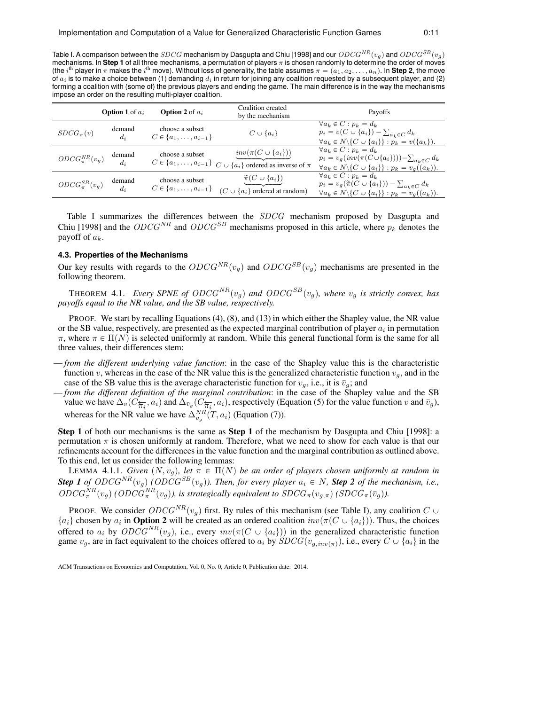Table I. A comparison between the SDCG mechanism by Dasgupta and Chiu [1998] and our  $ODCG^{NR}(v_q)$  and  $ODCG^{SB}(v_q)$ mechanisms. In **Step 1** of all three mechanisms, a permutation of players π is chosen randomly to determine the order of moves (the  $i^{\text{th}}$  player in  $\pi$  makes the  $i^{\text{th}}$  move). Without loss of generality, the table assumes  $\pi = (a_1, a_2, \ldots, a_n)$ . In Step 2, the move of  $a_i$  is to make a choice between (1) demanding  $d_i$  in return for joining any coalition requested by a subsequent player, and (2) forming a coalition with (some of) the previous players and ending the game. The main difference is in the way the mechanisms impose an order on the resulting multi-player coalition.

|                        | <b>Option 1</b> of $a_i$ | <b>Option 2</b> of $a_i$                             | Coalition created<br>by the mechanism                                                                       | Payoffs                                                                                                                                                                        |
|------------------------|--------------------------|------------------------------------------------------|-------------------------------------------------------------------------------------------------------------|--------------------------------------------------------------------------------------------------------------------------------------------------------------------------------|
| $SDCG_{\pi}(v)$        | demand<br>$d_i$          | choose a subset<br>$C \in \{a_1, \ldots, a_{i-1}\}\$ | $C \cup \{a_i\}$                                                                                            | $\forall a_k \in C : p_k = d_k$<br>$p_i = v(C \cup \{a_i\}) - \sum_{a_k \in C} d_k$<br>$\forall a_k \in N \setminus \{C \cup \{a_i\}\} : p_k = v(\{a_k\}).$                    |
| $ODCG_{\pi}^{NR}(v_q)$ | demand<br>$d_i$          | choose a subset                                      | $inv(\pi(C \cup \{a_i\}))$<br>$C \in \{a_1, \ldots, a_{i-1}\}$ $C \cup \{a_i\}$ ordered as inverse of $\pi$ | $\forall a_k \in C : p_k = d_k$<br>$p_i = v_g(inv(\pi(C \cup \{a_i\}))) - \sum_{a_k \in C} d_k$<br>$\forall a_k \in N \setminus \{C \cup \{a_i\}\} : p_k = v_g((a_k)).$        |
| $ODCG_{\pi}^{SB}(v_g)$ | demand<br>$d_i$          | choose a subset<br>$C \in \{a_1, \ldots, a_{i-1}\}\$ | $\widetilde{\pi}(C \cup \{a_i\})$<br>$(C \cup \{a_i\})$ ordered at random)                                  | $\forall a_k \in C : p_k = d_k$<br>$p_i = v_g(\widetilde{\pi}(C \cup \{a_i\})) - \sum_{a_k \in C} d_k$<br>$\forall a_k \in N \setminus \{C \cup \{a_i\}\} : p_k = v_g((a_k)).$ |

Table I summarizes the differences between the *SDCG* mechanism proposed by Dasgupta and Chiu [1998] and the ODCG<sup>NR</sup> and ODCG<sup>SB</sup> mechanisms proposed in this article, where  $p_k$  denotes the payoff of  $a_k$ .

## **4.3. Properties of the Mechanisms**

Our key results with regards to the  $ODCG^{NR}(v_q)$  and  $ODCG^{SB}(v_q)$  mechanisms are presented in the following theorem.

THEOREM 4.1. *Every SPNE of ODCG*<sup>NR</sup>( $v_g$ ) and ODCG<sup>SB</sup>( $v_g$ ), where  $v_g$  is strictly convex, has *payoffs equal to the NR value, and the SB value, respectively.*

PROOF. We start by recalling Equations (4), (8), and (13) in which either the Shapley value, the NR value or the SB value, respectively, are presented as the expected marginal contribution of player  $a_i$  in permutation  $\pi$ , where  $\pi \in \Pi(N)$  is selected uniformly at random. While this general functional form is the same for all three values, their differences stem:

- *from the different underlying value function*: in the case of the Shapley value this is the characteristic function v, whereas in the case of the NR value this is the generalized characteristic function  $v<sub>a</sub>$ , and in the case of the SB value this is the average characteristic function for  $v_g$ , i.e., it is  $\bar{v}_g$ ; and
- *from the different definition of the marginal contribution*: in the case of the Shapley value and the SB value we have  $\Delta_v(C_{\overline{\pi_i}}, a_i)$  and  $\Delta_{\bar{v}_g}(C_{\overline{\pi_i}}, a_i)$ , respectively (Equation (5) for the value function v and  $\bar{v}_g$ ), whereas for the NR value we have  $\Delta_{v_q}^{NR}(T, a_i)$  (Equation (7)).

**Step 1** of both our mechanisms is the same as **Step 1** of the mechanism by Dasgupta and Chiu [1998]: a permutation  $\pi$  is chosen uniformly at random. Therefore, what we need to show for each value is that our refinements account for the differences in the value function and the marginal contribution as outlined above. To this end, let us consider the following lemmas:

LEMMA 4.1.1. *Given*  $(N, v_g)$ , let  $\pi \in \Pi(N)$  be an order of players chosen uniformly at random in *Step 1 of*  $ODCG^{NR}(v_g)$  ( $ODCG^{SB}(v_g)$ ). Then, for every player  $a_i \in N$ , **Step 2** *of the mechanism, i.e.,*  $ODCG_{\pi}^{NR}(v_g)$  *(ODCG* $_{\pi}^{NR}(v_g)$ *), is strategically equivalent to*  $SDCG_{\pi}(v_{g,\pi})$  *(SDCG*<sub> $\pi$ </sub> $(\bar{v}_g)$ *).* 

PROOF. We consider  $ODCG^{NR}(v_q)$  first. By rules of this mechanism (see Table I), any coalition  $C \cup$  $\{a_i\}$  chosen by  $a_i$  in **Option 2** will be created as an ordered coalition  $inv(\pi(C \cup \{a_i\}))$ . Thus, the choices offered to  $a_i$  by  $ODCG^{NR}(v_g)$ , i.e., every  $inv(\pi(C \cup \{a_i\}))$  in the generalized characteristic function game  $v_g$ , are in fact equivalent to the choices offered to  $a_i$  by  $SDCG(v_{g,inv(\pi)})$ , i.e., every  $C \cup \{a_i\}$  in the

ACM Transactions on Economics and Computation, Vol. 0, No. 0, Article 0, Publication date: 2014.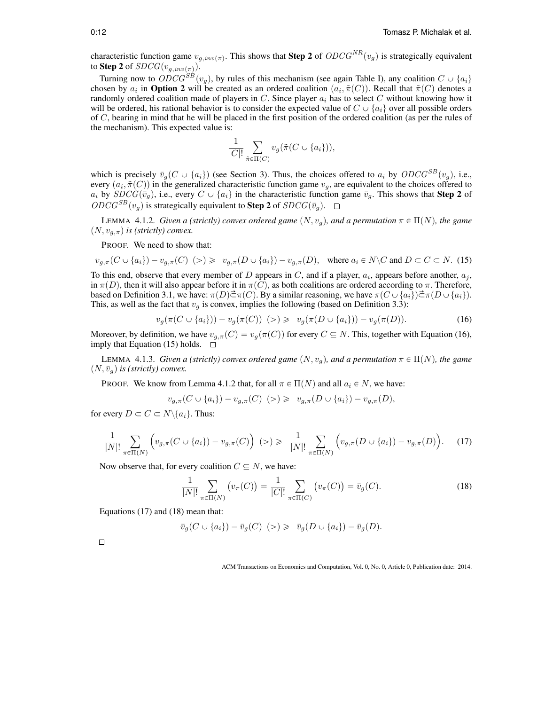characteristic function game  $v_{g,inv(\pi)}$ . This shows that **Step 2** of  $ODCG^{NR}(v_g)$  is strategically equivalent to **Step 2** of  $SDCG(v_{g,inv(\pi)})$ .

Turning now to  $ODCG^{SB}(v_q)$ , by rules of this mechanism (see again Table I), any coalition  $C \cup \{a_i\}$ chosen by  $a_i$  in **Option 2** will be created as an ordered coalition  $(a_i, \tilde{\pi}(C))$ . Recall that  $\tilde{\pi}(C)$  denotes a randomly ordered coalition made of players in C. Since player  $a_i$  has to select C without knowing how it will be ordered, his rational behavior is to consider the expected value of  $C \cup \{a_i\}$  over all possible orders of  $C$ , bearing in mind that he will be placed in the first position of the ordered coalition (as per the rules of the mechanism). This expected value is:

$$
\frac{1}{|C|!}\sum_{\tilde{\pi}\in\Pi(C)}v_g(\tilde{\pi}(C\cup\{a_i\})),
$$

which is precisely  $\bar{v}_g(C \cup \{a_i\})$  (see Section 3). Thus, the choices offered to  $a_i$  by  $ODCG^{SB}(v_g)$ , i.e., every  $(a_i, \tilde{\pi}(C))$  in the generalized characteristic function game  $v_g$ , are equivalent to the choices offered to  $a_i$  by  $SDCG(\bar{v}_g)$ , i.e., every  $C \cup \{a_i\}$  in the characteristic function game  $\bar{v}_g$ . This shows that **Step 2** of  $ODCG^{SB}(v_q)$  is strategically equivalent to **Step 2** of  $SDCG(\bar{v}_q)$ .  $\Box$ 

LEMMA 4.1.2. *Given a (strictly) convex ordered game*  $(N, v_q)$ *, and a permutation*  $\pi \in \Pi(N)$ *, the game*  $(N, v_{q,\pi})$  *is (strictly) convex.* 

PROOF. We need to show that:

$$
v_{g,\pi}(C \cup \{a_i\}) - v_{g,\pi}(C) \ \ (>\geqslant) \ \ \text{and} \ \ v_{g,\pi}(D \cup \{a_i\}) - v_{g,\pi}(D), \ \ \text{where } a_i \in N \setminus C \text{ and } D \subset C \subset N. \tag{15}
$$

To this end, observe that every member of D appears in C, and if a player,  $a_i$ , appears before another,  $a_j$ , in  $\pi(D)$ , then it will also appear before it in  $\pi(C)$ , as both coalitions are ordered according to  $\pi$ . Therefore, based on Definition 3.1, we have:  $\pi(D)\vec{\subset} \pi(C)$ . By a similar reasoning, we have  $\pi(C \cup \{a_i\})\vec{\subset} \pi(D \cup \{a_i\})$ . This, as well as the fact that  $v_q$  is convex, implies the following (based on Definition 3.3):

$$
v_g(\pi(C \cup \{a_i\})) - v_g(\pi(C)) \ \ (>) \geq v_g(\pi(D \cup \{a_i\})) - v_g(\pi(D)). \tag{16}
$$

Moreover, by definition, we have  $v_{g,\pi}(C) = v_g(\pi(C))$  for every  $C \subseteq N$ . This, together with Equation (16), imply that Equation (15) holds.  $\Box$ 

**LEMMA** 4.1.3. *Given a (strictly) convex ordered game*  $(N, v_q)$ *, and a permutation*  $\pi \in \Pi(N)$ *, the game*  $(N, \bar{v}_q)$  *is (strictly) convex.* 

PROOF. We know from Lemma 4.1.2 that, for all  $\pi \in \Pi(N)$  and all  $a_i \in N$ , we have:

$$
v_{g,\pi}(C \cup \{a_i\}) - v_{g,\pi}(C) \ \ (>) \geq v_{g,\pi}(D \cup \{a_i\}) - v_{g,\pi}(D),
$$

for every  $D \subset C \subset N \setminus \{a_i\}$ . Thus:

$$
\frac{1}{|N|!} \sum_{\pi \in \Pi(N)} \left( v_{g,\pi}(C \cup \{a_i\}) - v_{g,\pi}(C) \right) \quad (>) \geq \frac{1}{|N|!} \sum_{\pi \in \Pi(N)} \left( v_{g,\pi}(D \cup \{a_i\}) - v_{g,\pi}(D) \right). \tag{17}
$$

Now observe that, for every coalition  $C \subseteq N$ , we have:

$$
\frac{1}{|N|!} \sum_{\pi \in \Pi(N)} \left( v_{\pi}(C) \right) = \frac{1}{|C|!} \sum_{\pi \in \Pi(C)} \left( v_{\pi}(C) \right) = \bar{v}_g(C). \tag{18}
$$

Equations (17) and (18) mean that:

$$
\bar{v}_g(C \cup \{a_i\}) - \bar{v}_g(C) \geq \bar{v}_g(D \cup \{a_i\}) - \bar{v}_g(D).
$$

 $\Box$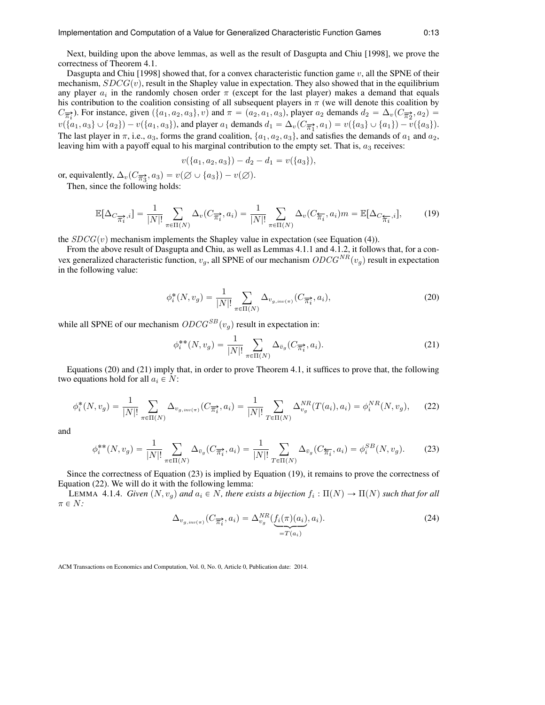Next, building upon the above lemmas, as well as the result of Dasgupta and Chiu [1998], we prove the correctness of Theorem 4.1.

Dasgupta and Chiu [1998] showed that, for a convex characteristic function game  $v$ , all the SPNE of their mechanism,  $SDCG(v)$ , result in the Shapley value in expectation. They also showed that in the equilibrium any player  $a_i$  in the randomly chosen order  $\pi$  (except for the last player) makes a demand that equals his contribution to the coalition consisting of all subsequent players in  $\pi$  (we will denote this coalition by  $C_{\overline{n}_i}$ ). For instance, given  $(\{a_1, a_2, a_3\}, v)$  and  $\pi = (a_2, a_1, a_3)$ , player  $a_2$  demands  $d_2 = \Delta_v(C_{\overline{n}_2}, a_2)$  $v(\{a_1, a_3\} \cup \{a_2\}) - v(\{a_1, a_3\})$ , and player  $a_1$  demands  $d_1 = \Delta_v(C_{\overrightarrow{n_1}}, a_1) = v(\{a_3\} \cup \{a_1\}) - v(\{a_3\}).$ The last player in  $\pi$ , i.e.,  $a_3$ , forms the grand coalition,  $\{a_1, a_2, a_3\}$ , and satisfies the demands of  $a_1$  and  $a_2$ , leaving him with a payoff equal to his marginal contribution to the empty set. That is,  $a_3$  receives:

$$
v({a1, a2, a3}) - d2 - d1 = v({a3}),
$$

or, equivalently,  $\Delta_v(C_{\overrightarrow{\pi_3}}, a_3) = v(\emptyset \cup \{a_3\}) - v(\emptyset)$ .

Then, since the following holds:

$$
\mathbb{E}[\Delta_{C_{\overline{\mathcal{H}}_i}^{\bullet}},i] = \frac{1}{|N|!} \sum_{\pi \in \Pi(N)} \Delta_v(C_{\overline{\mathcal{H}}_i}^{\bullet}, a_i) = \frac{1}{|N|!} \sum_{\pi \in \Pi(N)} \Delta_v(C_{\overline{\mathcal{H}}_i}^{\bullet}, a_i) m = \mathbb{E}[\Delta_{C_{\overline{\mathcal{H}}_i}^{\bullet}},i],\tag{19}
$$

the  $SDCG(v)$  mechanism implements the Shapley value in expectation (see Equation (4)).

From the above result of Dasgupta and Chiu, as well as Lemmas 4.1.1 and 4.1.2, it follows that, for a convex generalized characteristic function,  $v_g$ , all SPNE of our mechanism  $ODCG^{NR}(v_g)$  result in expectation in the following value:

$$
\phi_i^*(N, v_g) = \frac{1}{|N|!} \sum_{\pi \in \Pi(N)} \Delta_{v_{g,inv(\pi)}}(C_{\overline{\pi}_i^*}, a_i),
$$
\n(20)

while all SPNE of our mechanism  $ODCG^{SB}(v_q)$  result in expectation in:

$$
\phi_i^{**}(N, v_g) = \frac{1}{|N|!} \sum_{\pi \in \Pi(N)} \Delta_{\bar{v}_g}(C_{\overrightarrow{\pi_i}}, a_i). \tag{21}
$$

Equations (20) and (21) imply that, in order to prove Theorem 4.1, it suffices to prove that, the following two equations hold for all  $a_i \in N$ :

$$
\phi_i^*(N, v_g) = \frac{1}{|N|!} \sum_{\pi \in \Pi(N)} \Delta_{v_{g,inv(\pi)}}(C_{\overline{\pi_i^*}}, a_i) = \frac{1}{|N|!} \sum_{T \in \Pi(N)} \Delta_{v_g}^{NR}(T(a_i), a_i) = \phi_i^{NR}(N, v_g), \tag{22}
$$

and

$$
\phi_i^{**}(N, v_g) = \frac{1}{|N|!} \sum_{\pi \in \Pi(N)} \Delta_{\bar{v}_g}(C_{\overrightarrow{\pi_i}}, a_i) = \frac{1}{|N|!} \sum_{T \in \Pi(N)} \Delta_{\bar{v}_g}(C_{\overleftarrow{\pi_i}}, a_i) = \phi_i^{SB}(N, v_g). \tag{23}
$$

Since the correctness of Equation (23) is implied by Equation (19), it remains to prove the correctness of Equation (22). We will do it with the following lemma:

LEMMA 4.1.4. *Given*  $(N, v_g)$  and  $a_i \in N$ , there exists a bijection  $f_i : \Pi(N) \to \Pi(N)$  such that for all  $\pi \in N$  :

$$
\Delta_{v_{g,inv(\pi)}}(C_{\overrightarrow{\pi_i}}, a_i) = \Delta_{v_g}^{NR}(\underbrace{f_i(\pi)(a_i)}_{=T(a_i)}, a_i). \tag{24}
$$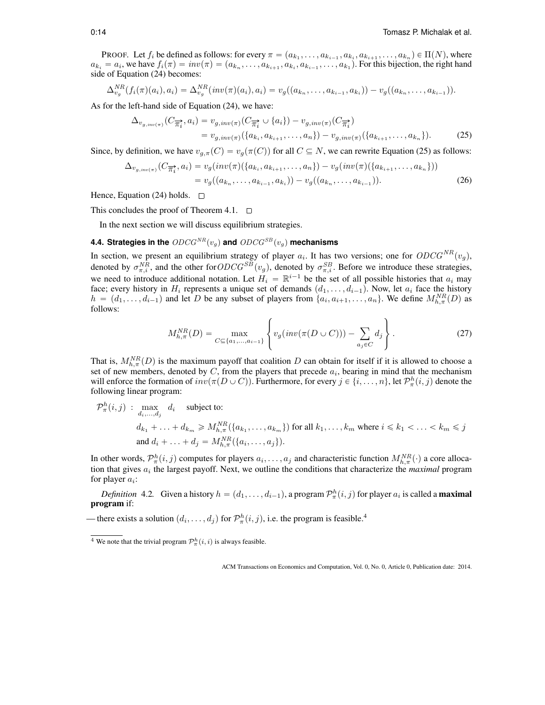PROOF. Let  $f_i$  be defined as follows: for every  $\pi = (a_{k_1}, \dots, a_{k_{i-1}}, a_{k_i}, a_{k_{i+1}}, \dots, a_{k_n}) \in \Pi(N)$ , where  $a_{k_i} = a_i$ , we have  $f_i(\pi) = inv(\pi) = (a_{k_n}, \dots, a_{k_{i+1}}, a_{k_i}, a_{k_{i-1}}, \dots, a_{k_1})$ . For this bijection, the right hand side of Equation (24) becomes:

$$
\Delta_{v_g}^{NR}(f_i(\pi)(a_i),a_i) = \Delta_{v_g}^{NR}(inv(\pi)(a_i),a_i) = v_g((a_{k_n},\ldots,a_{k_{i-1}},a_{k_i})) - v_g((a_{k_n},\ldots,a_{k_{i-1}})).
$$

As for the left-hand side of Equation (24), we have:

$$
\Delta_{v_{g,inv(\pi)}}(C_{\overrightarrow{n_i}}, a_i) = v_{g,inv(\pi)}(C_{\overrightarrow{n_i}} \cup \{a_i\}) - v_{g,inv(\pi)}(C_{\overrightarrow{n_i}})
$$
  
=  $v_{g,inv(\pi)}(\{a_{k_i}, a_{k_{i+1}}, \dots, a_n\}) - v_{g,inv(\pi)}(\{a_{k_{i+1}}, \dots, a_{k_n}\}).$  (25)

Since, by definition, we have  $v_{g,\pi}(C) = v_g(\pi(C))$  for all  $C \subseteq N$ , we can rewrite Equation (25) as follows:

$$
\Delta_{v_{g,inv(\pi)}}(C_{\overrightarrow{n_i}}, a_i) = v_g(inv(\pi)(\{a_{k_i}, a_{k_{i+1}}, \dots, a_n\}) - v_g(inv(\pi)(\{a_{k_{i+1}}, \dots, a_{k_n}\}))
$$
  
=  $v_g((a_{k_n}, \dots, a_{k_{i-1}}, a_{k_i})) - v_g((a_{k_n}, \dots, a_{k_{i-1}})).$  (26)

Hence, Equation (24) holds.  $\square$ 

This concludes the proof of Theorem 4.1.  $\Box$ 

In the next section we will discuss equilibrium strategies.

# **4.4. Strategies in the**  $ODCG^{NR}(v_q)$  and  $ODCG^{SB}(v_q)$  mechanisms

In section, we present an equilibrium strategy of player  $a_i$ . It has two versions; one for  $ODCG^{NR}(v_g)$ , denoted by  $\sigma_{\pi,i}^{NR}$ , and the other for  $ODCG^{SB}(v_g)$ , denoted by  $\sigma_{\pi,i}^{SB}$ . Before we introduce these strategies, we need to introduce additional notation. Let  $H_i = \mathbb{R}^{i-1}$  be the set of all possible histories that  $a_i$  may face; every history in  $H_i$  represents a unique set of demands  $(d_1, \ldots, d_{i-1})$ . Now, let  $a_i$  face the history  $h = (d_1, \ldots, d_{i-1})$  and let D be any subset of players from  $\{a_i, a_{i+1}, \ldots, a_n\}$ . We define  $M_{h,\pi}^{NR}(D)$  as follows:

$$
M_{h,\pi}^{NR}(D) = \max_{C \subseteq \{a_1, ..., a_{i-1}\}} \left\{ v_g(inv(\pi(D \cup C))) - \sum_{a_j \in C} d_j \right\}.
$$
 (27)

That is,  $M_{h,\pi}^{NR}(D)$  is the maximum payoff that coalition D can obtain for itself if it is allowed to choose a set of new members, denoted by  $C$ , from the players that precede  $a_i$ , bearing in mind that the mechanism will enforce the formation of  $inv(\pi(D \cup C))$ . Furthermore, for every  $j \in \{i, \ldots, n\}$ , let  $\mathcal{P}^h_\pi(i, j)$  denote the following linear program:

$$
\mathcal{P}_{\pi}^{h}(i,j) : \max_{d_i,\ldots,d_j} d_i \quad \text{subject to:}
$$
\n
$$
d_{k_1} + \ldots + d_{k_m} \ge M_{h,\pi}^{NR}(\{a_{k_1},\ldots,a_{k_m}\}) \text{ for all } k_1,\ldots,k_m \text{ where } i \le k_1 < \ldots < k_m \le j
$$
\n
$$
\text{and } d_i + \ldots + d_j = M_{h,\pi}^{NR}(\{a_i,\ldots,a_j\}).
$$

In other words,  $\mathcal{P}_\pi^h(i,j)$  computes for players  $a_i, \ldots, a_j$  and characteristic function  $M_{h,\pi}^{NR}(\cdot)$  a core allocation that gives  $a_i$  the largest payoff. Next, we outline the conditions that characterize the *maximal* program for player  $a_i$ :

*Definition* 4.2. Given a history  $h = (d_1, \ldots, d_{i-1})$ , a program  $\mathcal{P}^h_\pi(i, j)$  for player  $a_i$  is called a **maximal** program if:

— there exists a solution  $(d_i, \ldots, d_j)$  for  $\mathcal{P}_\pi^h(i, j)$ , i.e. the program is feasible.<sup>4</sup>

<sup>&</sup>lt;sup>4</sup> We note that the trivial program  $\mathcal{P}_{\pi}^{h}(i, i)$  is always feasible.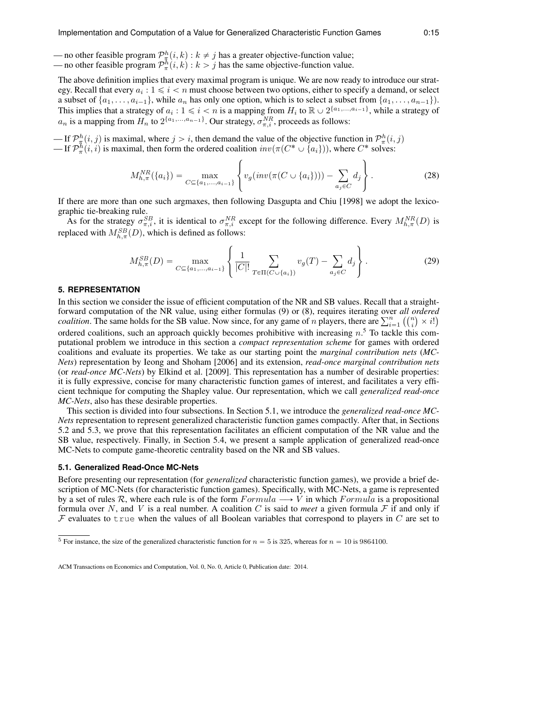— no other feasible program  $\mathcal{P}_{\pi}^{h}(i,k) : k \neq j$  has a greater objective-function value; — no other feasible program  $\mathcal{P}_{\pi}^{h}(i,k) : k > j$  has the same objective-function value.

The above definition implies that every maximal program is unique. We are now ready to introduce our strategy. Recall that every  $a_i : 1 \leq i < n$  must choose between two options, either to specify a demand, or select a subset of  $\{a_1, \ldots, a_{i-1}\}\$ , while  $a_n$  has only one option, which is to select a subset from  $\{a_1, \ldots, a_{n-1}\}\$ . This implies that a strategy of  $a_i: 1 \leq i < n$  is a mapping from  $H_i$  to  $\mathbb{R} \cup 2^{\{a_1,\dots,a_{i-1}\}}$ , while a strategy of  $a_n$  is a mapping from  $H_n$  to  $2^{\{a_1,\dots,a_{n-1}\}}$ . Our strategy,  $\sigma_{\pi,i}^{NR}$ , proceeds as follows:

— If  $\mathcal{P}_{\pi}^h(i,j)$  is maximal, where  $j > i$ , then demand the value of the objective function in  $\mathcal{P}_{\pi}^h(i,j)$ — If  $\mathcal{P}_{\pi}^{h}(i,i)$  is maximal, then form the ordered coalition  $inv(\pi(C^* \cup \{a_i\}))$ , where  $C^*$  solves:

$$
M_{h,\pi}^{NR}(\{a_i\}) = \max_{C \subseteq \{a_1,\dots,a_{i-1}\}} \left\{ v_g(inv(\pi(C \cup \{a_i\}))) - \sum_{a_j \in C} d_j \right\}.
$$
 (28)

If there are more than one such argmaxes, then following Dasgupta and Chiu [1998] we adopt the lexicographic tie-breaking rule.

As for the strategy  $\sigma_{\pi,i}^{SB}$ , it is identical to  $\sigma_{\pi,i}^{NR}$  except for the following difference. Every  $M_{h,\pi}^{NR}(D)$  is replaced with  $M_{h,\pi}^{SB}(D)$ , which is defined as follows:

$$
M_{h,\pi}^{SB}(D) = \max_{C \subseteq \{a_1, \dots, a_{i-1}\}} \left\{ \frac{1}{|C|!} \sum_{T \in \Pi(C \cup \{a_i\})} v_g(T) - \sum_{a_j \in C} d_j \right\}.
$$
 (29)

### **5. REPRESENTATION**

In this section we consider the issue of efficient computation of the NR and SB values. Recall that a straightforward computation of the NR value, using either formulas (9) or (8), requires iterating over *all ordered*<br>coalition. The same holds for the SB value, Now since for any game of a players there are  $\sum_{i=1}^{n} \binom{n}{i} \times i$ forward computation of the NR value, using either formulas (9) or (8), requires iterating over all ordere coalition. The same holds for the SB value. Now since, for any game of *n* players, there are  $\sum_{i=1}^{n} \binom{n}{i} \times i$ ordered coalitions, such an approach quickly becomes prohibitive with increasing  $n<sup>5</sup>$  To tackle this computational problem we introduce in this section a *compact representation scheme* for games with ordered coalitions and evaluate its properties. We take as our starting point the *marginal contribution nets* (*MC-Nets*) representation by Ieong and Shoham [2006] and its extension, *read-once marginal contribution nets* (or *read-once MC-Nets*) by Elkind et al. [2009]. This representation has a number of desirable properties: it is fully expressive, concise for many characteristic function games of interest, and facilitates a very efficient technique for computing the Shapley value. Our representation, which we call *generalized read-once MC-Nets*, also has these desirable properties.

This section is divided into four subsections. In Section 5.1, we introduce the *generalized read-once MC-Nets* representation to represent generalized characteristic function games compactly. After that, in Sections 5.2 and 5.3, we prove that this representation facilitates an efficient computation of the NR value and the SB value, respectively. Finally, in Section 5.4, we present a sample application of generalized read-once MC-Nets to compute game-theoretic centrality based on the NR and SB values.

#### **5.1. Generalized Read-Once MC-Nets**

Before presenting our representation (for *generalized* characteristic function games), we provide a brief description of MC-Nets (for characteristic function games). Specifically, with MC-Nets, a game is represented by a set of rules R, where each rule is of the form  $Formula \rightarrow V$  in which Formula is a propositional formula over N, and V is a real number. A coalition C is said to *meet* a given formula  $\mathcal F$  if and only if  $\mathcal F$  evaluates to true when the values of all Boolean variables that correspond to players in C are set to

<sup>&</sup>lt;sup>5</sup> For instance, the size of the generalized characteristic function for  $n = 5$  is 325, whereas for  $n = 10$  is 9864100.

ACM Transactions on Economics and Computation, Vol. 0, No. 0, Article 0, Publication date: 2014.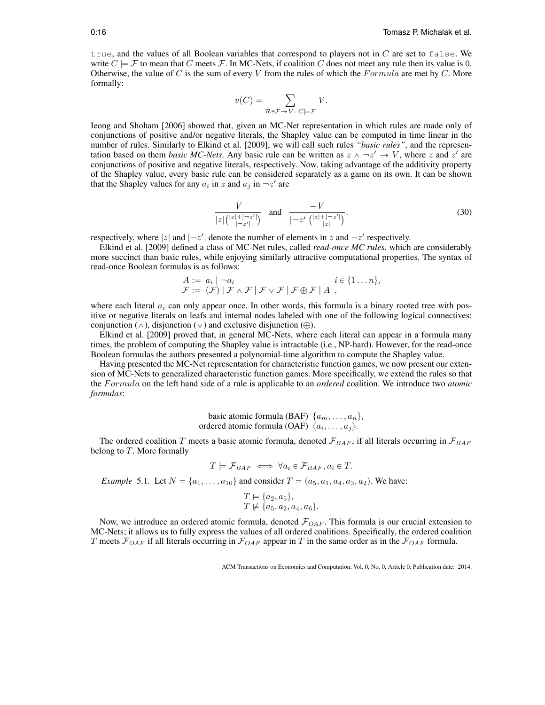true, and the values of all Boolean variables that correspond to players not in  $C$  are set to false. We write  $C \models \mathcal{F}$  to mean that C meets  $\mathcal{F}$ . In MC-Nets, if coalition C does not meet any rule then its value is 0. Otherwise, the value of C is the sum of every V from the rules of which the Formula are met by C. More formally:

$$
v(C) = \sum_{\mathcal{R}\ni\mathcal{F}\to V:\ C\models\mathcal{F}} V.
$$

Ieong and Shoham [2006] showed that, given an MC-Net representation in which rules are made only of conjunctions of positive and/or negative literals, the Shapley value can be computed in time linear in the number of rules. Similarly to Elkind et al. [2009], we will call such rules *"basic rules"*, and the representation based on them *basic MC-Nets*. Any basic rule can be written as  $z \wedge \neg z' \rightarrow V$ , where z and z' are conjunctions of positive and negative literals, respectively. Now, taking advantage of the additivity property of the Shapley value, every basic rule can be considered separately as a game on its own. It can be shown that the Shapley values for any  $a_i$  in z and  $a_j$  in  $-z'$  are

$$
\frac{V}{|z|{|z|+|z'|}\choose{|z'|}} \quad \text{and} \quad \frac{-V}{|-z'|{|z|+|z'|}\choose{|z|}}.
$$
 (30)

respectively, where |z| and  $|\neg z'|$  denote the number of elements in z and  $\neg z'$  respectively.

Elkind et al. [2009] defined a class of MC-Net rules, called *read-once MC rules*, which are considerably more succinct than basic rules, while enjoying similarly attractive computational properties. The syntax of read-once Boolean formulas is as follows:

$$
A := a_i | \neg a_i
$$
  
\n
$$
\mathcal{F} := (\mathcal{F}) | \mathcal{F} \wedge \mathcal{F} | \mathcal{F} \vee \mathcal{F} | \mathcal{F} \oplus \mathcal{F} | A,
$$
  
\n
$$
i \in \{1 \dots n\},
$$

where each literal  $a_i$  can only appear once. In other words, this formula is a binary rooted tree with positive or negative literals on leafs and internal nodes labeled with one of the following logical connectives: conjunction ( $\wedge$ ), disjunction ( $\vee$ ) and exclusive disjunction ( $\oplus$ ).

Elkind et al. [2009] proved that, in general MC-Nets, where each literal can appear in a formula many times, the problem of computing the Shapley value is intractable (i.e., NP-hard). However, for the read-once Boolean formulas the authors presented a polynomial-time algorithm to compute the Shapley value.

Having presented the MC-Net representation for characteristic function games, we now present our extension of MC-Nets to generalized characteristic function games. More specifically, we extend the rules so that the Formula on the left hand side of a rule is applicable to an *ordered* coalition. We introduce two *atomic formulas*:

> basic atomic formula (BAF)  $\{a_m, \ldots, a_n\},\$ ordered atomic formula (OAF)  $\langle a_i, \ldots, a_j \rangle$ .

The ordered coalition T meets a basic atomic formula, denoted  $\mathcal{F}_{BAF}$ , if all literals occurring in  $\mathcal{F}_{BAF}$ belong to  $T$ . More formally

$$
T \models \mathcal{F}_{BAF} \iff \forall a_i \in \mathcal{F}_{BAF}, a_i \in T.
$$

*Example* 5.1. Let  $N = \{a_1, \ldots, a_{10}\}$  and consider  $T = (a_5, a_1, a_4, a_3, a_2)$ . We have:

$$
T \vDash \{a_2, a_5\}, T \nvDash \{a_5, a_2, a_4, a_6\}.
$$

Now, we introduce an ordered atomic formula, denoted  $\mathcal{F}_{OAF}$ . This formula is our crucial extension to MC-Nets; it allows us to fully express the values of all ordered coalitions. Specifically, the ordered coalition T meets  $\mathcal{F}_{OAF}$  if all literals occurring in  $\mathcal{F}_{OAF}$  appear in T in the same order as in the  $\mathcal{F}_{OAF}$  formula.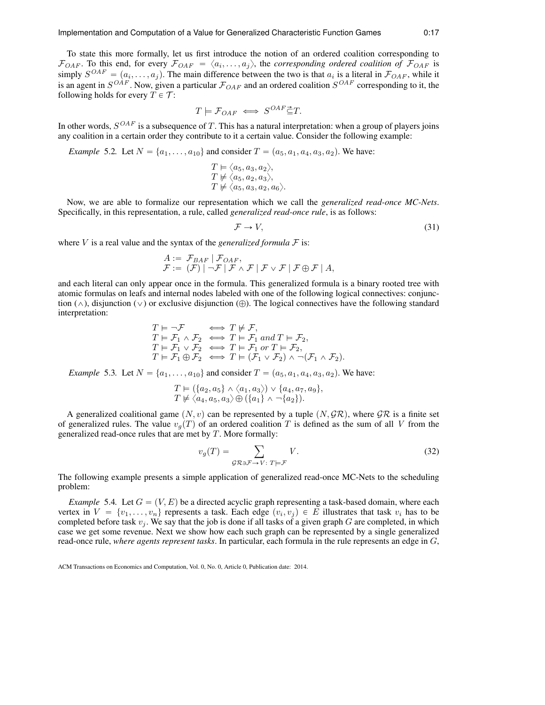To state this more formally, let us first introduce the notion of an ordered coalition corresponding to  $\mathcal{F}_{OAF}$ . To this end, for every  $\mathcal{F}_{OAF} = \langle a_i, \ldots, a_j \rangle$ , the *corresponding ordered coalition of*  $\mathcal{F}_{OAF}$  is simply  $S^{OAF} = (a_i, \ldots, a_j)$ . The main difference between the two is that  $a_i$  is a literal in  $\mathcal{F}_{OAF}$ , while it is an agent in  $S^{OAF}$ . Now, given a particular  $\mathcal{F}_{OAF}$  and an ordered coalition  $S^{OAF}$  corresponding to it, the following holds for every  $T \in \mathcal{T}$ :

$$
T \models \mathcal{F}_{OAF} \iff S^{OAF} \vec{\subseteq} T.
$$

In other words,  $S^{OAF}$  is a subsequence of T. This has a natural interpretation: when a group of players joins any coalition in a certain order they contribute to it a certain value. Consider the following example:

*Example* 5.2*.* Let  $N = \{a_1, \ldots, a_{10}\}$  and consider  $T = (a_5, a_1, a_4, a_3, a_2)$ . We have:

$$
T \vDash \langle a_5, a_3, a_2 \rangle, T \not\models \langle a_5, a_2, a_3 \rangle, T \not\models \langle a_5, a_3, a_2, a_6 \rangle.
$$

Now, we are able to formalize our representation which we call the *generalized read-once MC-Nets*. Specifically, in this representation, a rule, called *generalized read-once rule*, is as follows:

$$
\mathcal{F} \to V,\tag{31}
$$

where  $V$  is a real value and the syntax of the *generalized formula*  $\mathcal F$  is:

$$
A := \mathcal{F}_{BAF} | \mathcal{F}_{OAF},
$$
  

$$
\mathcal{F} := (\mathcal{F}) | \neg \mathcal{F} | \mathcal{F} \wedge \mathcal{F} | \mathcal{F} \vee \mathcal{F} | \mathcal{F} \oplus \mathcal{F} | A,
$$

and each literal can only appear once in the formula. This generalized formula is a binary rooted tree with atomic formulas on leafs and internal nodes labeled with one of the following logical connectives: conjunction ( $\wedge$ ), disjunction ( $\vee$ ) or exclusive disjunction ( $\oplus$ ). The logical connectives have the following standard interpretation:

$$
T \vDash \neg \mathcal{F} \iff T \nvDash \mathcal{F},
$$
  
\n
$$
T \vDash \mathcal{F}_1 \land \mathcal{F}_2 \iff T \vDash \mathcal{F}_1 \text{ and } T \vDash \mathcal{F}_2,
$$
  
\n
$$
T \vDash \mathcal{F}_1 \lor \mathcal{F}_2 \iff T \vDash \mathcal{F}_1 \text{ or } T \vDash \mathcal{F}_2,
$$
  
\n
$$
T \vDash \mathcal{F}_1 \oplus \mathcal{F}_2 \iff T \vDash (\mathcal{F}_1 \lor \mathcal{F}_2) \land \neg (\mathcal{F}_1 \land \mathcal{F}_2).
$$

*Example* 5.3. Let  $N = \{a_1, \ldots, a_{10}\}\$  and consider  $T = (a_5, a_1, a_4, a_3, a_2)$ . We have:

$$
T \vDash (\{a_2, a_5\} \wedge \langle a_1, a_3 \rangle) \vee \{a_4, a_7, a_9\},
$$
  

$$
T \nvDash \langle a_4, a_5, a_3 \rangle \oplus (\{a_1\} \wedge \neg \{a_2\}).
$$

A generalized coalitional game  $(N, v)$  can be represented by a tuple  $(N, \mathcal{GR})$ , where  $\mathcal{GR}$  is a finite set of generalized rules. The value  $v_q(T)$  of an ordered coalition T is defined as the sum of all V from the generalized read-once rules that are met by  $T$ . More formally:

$$
v_g(T) = \sum_{\mathcal{GR}\ni\mathcal{F}\to V:\;T\models\mathcal{F}} V.
$$
\n(32)

The following example presents a simple application of generalized read-once MC-Nets to the scheduling problem:

*Example* 5.4. Let  $G = (V, E)$  be a directed acyclic graph representing a task-based domain, where each vertex in  $V = \{v_1, \ldots, v_n\}$  represents a task. Each edge  $(v_i, v_j) \in E$  illustrates that task  $v_i$  has to be completed before task  $v_i$ . We say that the job is done if all tasks of a given graph G are completed, in which case we get some revenue. Next we show how each such graph can be represented by a single generalized read-once rule, *where agents represent tasks*. In particular, each formula in the rule represents an edge in G,

ACM Transactions on Economics and Computation, Vol. 0, No. 0, Article 0, Publication date: 2014.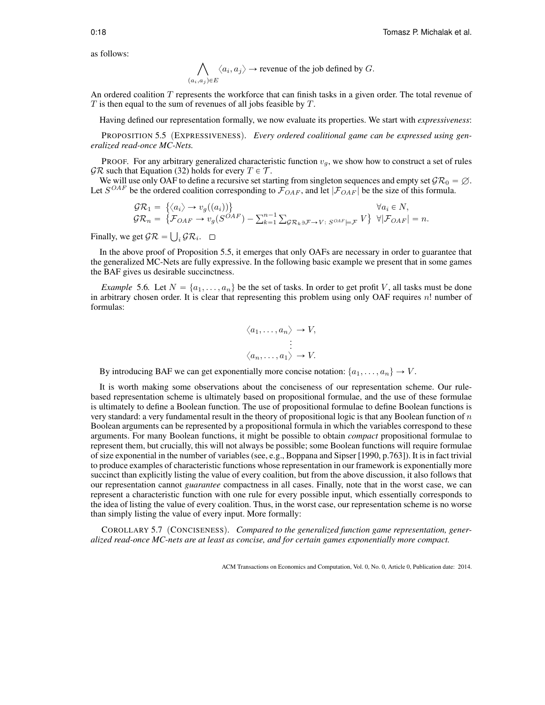as follows:

$$
\bigwedge_{(a_i, a_j) \in E} \langle a_i, a_j \rangle \to \text{revenue of the job defined by } G.
$$

An ordered coalition  $T$  represents the workforce that can finish tasks in a given order. The total revenue of  $T$  is then equal to the sum of revenues of all jobs feasible by  $T$ .

Having defined our representation formally, we now evaluate its properties. We start with *expressiveness*:

PROPOSITION 5.5 (EXPRESSIVENESS). Every ordered coalitional game can be expressed using gen*eralized read-once MC-Nets.*

PROOF. For any arbitrary generalized characteristic function  $v<sub>q</sub>$ , we show how to construct a set of rules  $\mathcal{GR}$  such that Equation (32) holds for every  $T \in \mathcal{T}$ .

We will use only OAF to define a recursive set starting from singleton sequences and empty set  $\mathcal{GR}_0 = \emptyset$ . Let  $S^{OAF}$  be the ordered coalition corresponding to  $\overline{\mathcal{F}_{OAF}}$ , and let  $|\mathcal{F}_{OAF}|$  be the size of this formula.<br>  $\mathcal{GR}_1 = \{ \langle a_i \rangle \rightarrow v_g((a_i)) \}$   $\forall a_i \in N$ ,

$$
\mathcal{GR}_1 = \left\{ \langle a_i \rangle \to v_g((a_i)) \right\} \qquad \forall a_i \in N,
$$
  
\n
$$
\mathcal{GR}_n = \left\{ \mathcal{F}_{OAF} \to v_g(S^{OAF}) - \sum_{k=1}^{n-1} \sum_{\mathcal{GR}_k \ni \mathcal{F} \to V} s^{OAF} \models \mathcal{F} \right\} \ \forall |\mathcal{F}_{OAF}| = n.
$$

Finally, we get  $\mathcal{G}\mathcal{R} =$  $_i$ GR<sub>i</sub>.

In the above proof of Proposition 5.5, it emerges that only OAFs are necessary in order to guarantee that the generalized MC-Nets are fully expressive. In the following basic example we present that in some games the BAF gives us desirable succinctness.

*Example* 5.6. Let  $N = \{a_1, \ldots, a_n\}$  be the set of tasks. In order to get profit V, all tasks must be done in arbitrary chosen order. It is clear that representing this problem using only OAF requires  $n!$  number of formulas:

$$
\langle a_1, \dots, a_n \rangle \to V,
$$
  

$$
\vdots
$$
  

$$
\langle a_n, \dots, a_1 \rangle \to V.
$$

By introducing BAF we can get exponentially more concise notation:  $\{a_1, \ldots, a_n\} \rightarrow V$ .

It is worth making some observations about the conciseness of our representation scheme. Our rulebased representation scheme is ultimately based on propositional formulae, and the use of these formulae is ultimately to define a Boolean function. The use of propositional formulae to define Boolean functions is very standard: a very fundamental result in the theory of propositional logic is that any Boolean function of  $n$ Boolean arguments can be represented by a propositional formula in which the variables correspond to these arguments. For many Boolean functions, it might be possible to obtain *compact* propositional formulae to represent them, but crucially, this will not always be possible; some Boolean functions will require formulae of size exponential in the number of variables (see, e.g., Boppana and Sipser [1990, p.763]). It is in fact trivial to produce examples of characteristic functions whose representation in our framework is exponentially more succinct than explicitly listing the value of every coalition, but from the above discussion, it also follows that our representation cannot *guarantee* compactness in all cases. Finally, note that in the worst case, we can represent a characteristic function with one rule for every possible input, which essentially corresponds to the idea of listing the value of every coalition. Thus, in the worst case, our representation scheme is no worse than simply listing the value of every input. More formally:

COROLLARY 5.7 (CONCISENESS). *Compared to the generalized function game representation, generalized read-once MC-nets are at least as concise, and for certain games exponentially more compact.*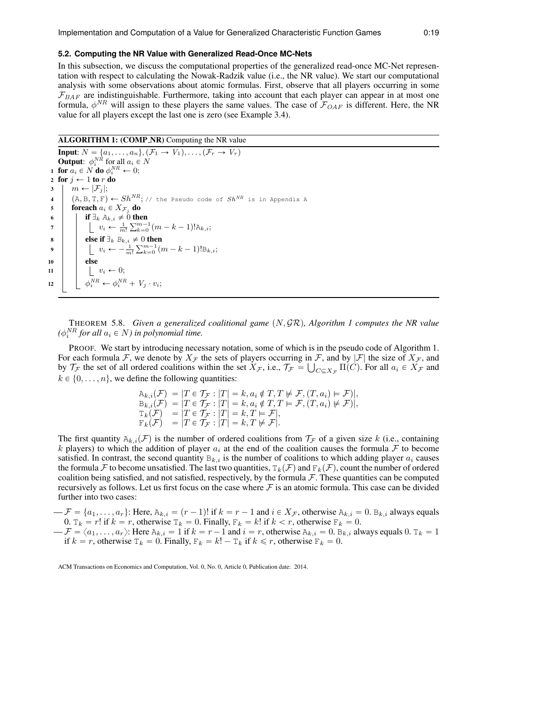## **5.2. Computing the NR Value with Generalized Read-Once MC-Nets**

In this subsection, we discuss the computational properties of the generalized read-once MC-Net representation with respect to calculating the Nowak-Radzik value (i.e., the NR value). We start our computational analysis with some observations about atomic formulas. First, observe that all players occurring in some  $\mathcal{F}_{BAF}$  are indistinguishable. Furthermore, taking into account that each player can appear in at most one formula,  $\phi^{NR}$  will assign to these players the same values. The case of  $\mathcal{F}_{OAF}$  is different. Here, the NR value for all players except the last one is zero (see Example 3.4).

### ALGORITHM 1: (COMP\_NR) Computing the NR value

**Input:**  $N = \{a_1, \ldots, a_n\}, \left(\mathcal{F}_1 \rightarrow V_1\right), \ldots, \left(\mathcal{F}_r \rightarrow V_r\right)$ **Output:**  $\phi_i^{NR}$  for all  $a_i \in N$ 1 for  $a_i \in N$  do  $\phi_i^{NR} \leftarrow 0$ ; 2 for  $j \leftarrow 1$  to r do  $3 \mid m \leftarrow |\mathcal{F}_j|;$ 4  $(A, B, T, F) \leftarrow Sh^{NR};$  // the Pseudo code of  $Sh^{NR}$  is in Appendix A 5 foreach  $a_i \in X_{\mathcal{F}_i}$  do 6 if  $\exists_k A_{k,i} \neq 0$  then 6<br>  $\begin{array}{|c|c|c|c|}\n\hline \text{if} & \exists_k \ \mathbb{A}_{k,i} \neq 0 \text{ then} \\
v_i & \longleftarrow \frac{1}{m!} \sum_{k=0}^{m-1} (m-k-1)! \mathbb{A}_{k,i};\n\hline \end{array}$ 8 else if  $\exists_k B_{k,i} \neq 0$  then 9  $\big| \big| u_i \leftarrow -\frac{1}{m!} \sum_{k=0}^{m-1} (m-k-1)! \mathbb{B}_{k,i};$  $10$  else 11  $v_i \leftarrow 0;$ 12  $\phi_i^{NR} \leftarrow \phi_i^{NR} + V_j \cdot v_i;$ 

THEOREM 5.8. *Given a generalized coalitional game*  $(N, \mathcal{GR})$ , Algorithm 1 computes the NR value  $(\phi_i^{NR}$  for all  $a_i \in N)$  in polynomial time.

PROOF. We start by introducing necessary notation, some of which is in the pseudo code of Algorithm 1. For each formula F, we denote by  $X_F$  the sets of players occurring in F, and by  $|\mathcal{F}|$  the size of  $X_F$ , and by  $\mathcal{T}_{\mathcal{F}}$  the set of all ordered coalitions within the set  $X_{\mathcal{F}}$ , i.e.,  $\mathcal{T}_{\mathcal{F}} = \bigcup_{C \subseteq X_{\mathcal{F}}} \Pi(C)$ . For all  $a_i \in X_{\mathcal{F}}$  and  $k \in \{0, \ldots, n\}$ , we define the following quantities:

$$
\begin{array}{lll}\n\text{A}_{k,i}(\mathcal{F}) &= |T \in \mathcal{T}_{\mathcal{F}} : |T| = k, a_i \notin T, T \not\models \mathcal{F}, (T, a_i) \models \mathcal{F})|, \\
\text{B}_{k,i}(\mathcal{F}) &= |T \in \mathcal{T}_{\mathcal{F}} : |T| = k, a_i \notin T, T \models \mathcal{F}, (T, a_i) \not\models \mathcal{F})|, \\
\text{T}_{k}(\mathcal{F}) &= |T \in \mathcal{T}_{\mathcal{F}} : |T| = k, T \models \mathcal{F}|, \\
\text{F}_{k}(\mathcal{F}) &= |T \in \mathcal{T}_{\mathcal{F}} : |T| = k, T \not\models \mathcal{F}|.\n\end{array}
$$

The first quantity  $A_{k,i}(\mathcal{F})$  is the number of ordered coalitions from  $\mathcal{T}_{\mathcal{F}}$  of a given size k (i.e., containing k players) to which the addition of player  $a_i$  at the end of the coalition causes the formula F to become satisfied. In contrast, the second quantity  $B_{k,i}$  is the number of coalitions to which adding player  $a_i$  causes the formula F to become unsatisfied. The last two quantities,  $T_k(\mathcal{F})$  and  $F_k(\mathcal{F})$ , count the number of ordered coalition being satisfied, and not satisfied, respectively, by the formula  $\mathcal F$ . These quantities can be computed recursively as follows. Let us first focus on the case where  $\mathcal F$  is an atomic formula. This case can be divided further into two cases:

- $-\mathcal{F} = \{a_1, \ldots, a_r\}$ : Here,  $A_{k,i} = (r-1)!$  if  $k = r-1$  and  $i \in X_{\mathcal{F}}$ , otherwise  $A_{k,i} = 0$ .  $B_{k,i}$  always equals 0.  $T_k = r!$  if  $k = r$ , otherwise  $T_k = 0$ . Finally,  $F_k = k!$  if  $k < r$ , otherwise  $F_k = 0$ .
- $-\mathcal{F} = \langle a_1, \ldots, a_r \rangle$ : Here  $A_{k,i} = 1$  if  $k = r 1$  and  $i = r$ , otherwise  $A_{k,i} = 0$ .  $B_{k,i}$  always equals  $0$ .  $T_k = 1$ if  $k = r$ , otherwise  $\mathbb{T}_k = 0$ . Finally,  $\mathbb{F}_k = k! - \mathbb{T}_k$  if  $k \leq r$ , otherwise  $\mathbb{F}_k = 0$ .

ACM Transactions on Economics and Computation, Vol. 0, No. 0, Article 0, Publication date: 2014.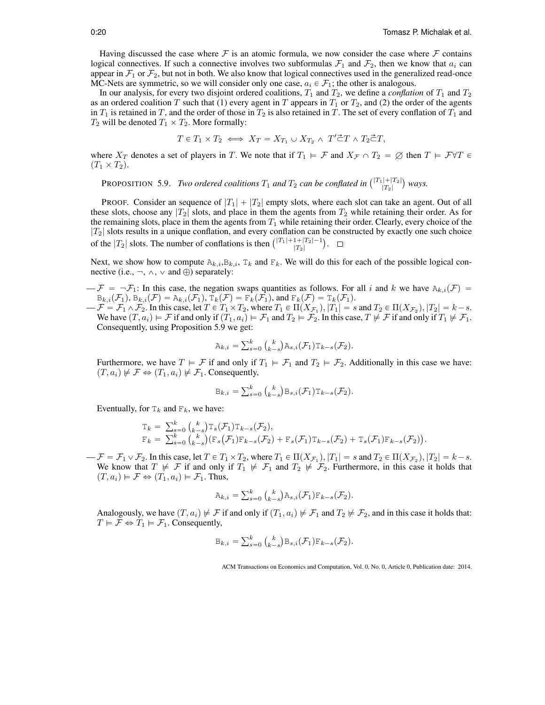Having discussed the case where  $\mathcal F$  is an atomic formula, we now consider the case where  $\mathcal F$  contains logical connectives. If such a connective involves two subformulas  $\mathcal{F}_1$  and  $\mathcal{F}_2$ , then we know that  $a_i$  can appear in  $\mathcal{F}_1$  or  $\mathcal{F}_2$ , but not in both. We also know that logical connectives used in the generalized read-once MC-Nets are symmetric, so we will consider only one case,  $a_i \in \mathcal{F}_1$ ; the other is analogous.

In our analysis, for every two disjoint ordered coalitions,  $T_1$  and  $T_2$ , we define a *conflation* of  $T_1$  and  $T_2$ as an ordered coalition T such that (1) every agent in T appears in  $T_1$  or  $T_2$ , and (2) the order of the agents in  $T_1$  is retained in T, and the order of those in  $T_2$  is also retained in T. The set of every conflation of  $T_1$  and  $T_2$  will be denoted  $T_1 \times T_2$ . More formally:

$$
T \in T_1 \times T_2 \iff X_T = X_{T_1} \cup X_{T_2} \wedge T' \vec{\subset} T \wedge T_2 \vec{\subset} T,
$$

where  $X_T$  denotes a set of players in T. We note that if  $T_1 \vDash \mathcal{F}$  and  $X_{\mathcal{F}} \cap T_2 = \emptyset$  then  $T \vDash \mathcal{F} \forall T \in$  $(T_1 \times T_2)$ .

**PROPOSITION 5.9.** *Two ordered coalitions*  $T_1$  *and*  $T_2$  *can be conflated in*  $\binom{|T_1|+|T_2|}{|T_3|}$  $\left|T_{2}\right|$ *ways.*

PROOF. Consider an sequence of  $|T_1| + |T_2|$  empty slots, where each slot can take an agent. Out of all these slots, choose any  $|T_2|$  slots, and place in them the agents from  $T_2$  while retaining their order. As for the remaining slots, place in them the agents from  $T_1$  while retaining their order. Clearly, every choice of the  $|T_2|$  slots results in a unique conflation, and every conflation can be constructed by exactly one such choice  $|T_2|$  slots results in a unique conflation, and every conflation can<br>of the  $|T_2|$  slots. The number of conflations is then  $\binom{|T_1|+1+|T_2|-1}{|T_2|}$  $\frac{1+|I_2|-1}{|T_2|}$ .

Next, we show how to compute  $A_{k,i},B_{k,i}, T_k$  and  $F_k$ . We will do this for each of the possible logical connective (i.e.,  $\neg$ ,  $\wedge$ ,  $\vee$  and  $\oplus$ ) separately:

- $-\mathcal{F} = -\mathcal{F}_1$ : In this case, the negation swaps quantities as follows. For all i and k we have  $A_{k,i}(\mathcal{F}) =$  $B_{k,i}(\mathcal{F}_1), B_{k,i}(\mathcal{F}) = A_{k,i}(\mathcal{F}_1), T_k(\mathcal{F}) = F_k(\mathcal{F}_1),$  and  $F_k(\mathcal{F}) = T_k(\mathcal{F}_1)$ .
- $\mathcal{F} = \mathcal{F}_1 \wedge \mathcal{F}_2$ . In this case, let  $T \in T_1 \times T_2$ , where  $T_1 \in \Pi(X_{\mathcal{F}_1}), |T_1| = s$  and  $T_2 \in \Pi(X_{\mathcal{F}_2}), |T_2| = k s$ . We have  $(T, a_i) \models \mathcal{F}$  if and only if  $(T_1, a_i) \models \mathcal{F}_1$  and  $T_2 \models \mathcal{F}_2$ . In this case,  $T \not\models \mathcal{F}$  if and only if  $T_1 \not\models \mathcal{F}_1$ . Consequently, using Proposition 5.9 we get:

$$
A_{k,i} = \sum_{s=0}^{k} {k \choose k-s} A_{s,i}(\mathcal{F}_1) T_{k-s}(\mathcal{F}_2).
$$

Furthermore, we have  $T \models \mathcal{F}$  if and only if  $T_1 \models \mathcal{F}_1$  and  $T_2 \models \mathcal{F}_2$ . Additionally in this case we have:  $(T, a_i) \not\models \mathcal{F} \Leftrightarrow (T_1, a_i) \not\models \mathcal{F}_1$ . Consequently,

$$
\mathbf{B}_{k,i} = \sum_{s=0}^{k} {k \choose k-s} \mathbf{B}_{s,i}(\mathcal{F}_1) \mathbf{T}_{k-s}(\mathcal{F}_2).
$$

Eventually, for  $T_k$  and  $F_k$ , we have:

$$
T_k = \sum_{s=0}^k {k \choose k-s} T_s(\mathcal{F}_1) T_{k-s}(\mathcal{F}_2),
$$
  
\n
$$
F_k = \sum_{s=0}^k {k \choose k-s} (F_s(\mathcal{F}_1) F_{k-s}(\mathcal{F}_2) + F_s(\mathcal{F}_1) T_{k-s}(\mathcal{F}_2) + T_s(\mathcal{F}_1) F_{k-s}(\mathcal{F}_2)).
$$

 $\mathcal{F} = \mathcal{F}_1 \vee \mathcal{F}_2$ . In this case, let  $T \in T_1 \times T_2$ , where  $T_1 \in \Pi(X_{\mathcal{F}_1}), |T_1| = s$  and  $T_2 \in \Pi(X_{\mathcal{F}_2}), |T_2| = k - s$ . We know that  $T \not\vdash \mathcal{F}$  if and only if  $T_1 \not\vdash \mathcal{F}_1$  and  $T_2 \not\vdash \mathcal{F}_2$ . Furthermore, in this case it holds that  $(T, a_i) \models \mathcal{F} \Leftrightarrow (T_1, a_i) \models \mathcal{F}_1$ . Thus,

$$
A_{k,i} = \sum_{s=0}^{k} {k \choose k-s} A_{s,i}(\mathcal{F}_1) F_{k-s}(\mathcal{F}_2).
$$

Analogously, we have  $(T, a_i) \neq \mathcal{F}$  if and only if  $(T_1, a_i) \neq \mathcal{F}_1$  and  $T_2 \neq \mathcal{F}_2$ , and in this case it holds that:  $T \models \mathcal{F} \Leftrightarrow T_1 \models \mathcal{F}_1$ . Consequently,

$$
\mathbf{B}_{k,i} = \sum_{s=0}^{k} {k \choose k-s} \mathbf{B}_{s,i}(\mathcal{F}_1) \mathbf{F}_{k-s}(\mathcal{F}_2).
$$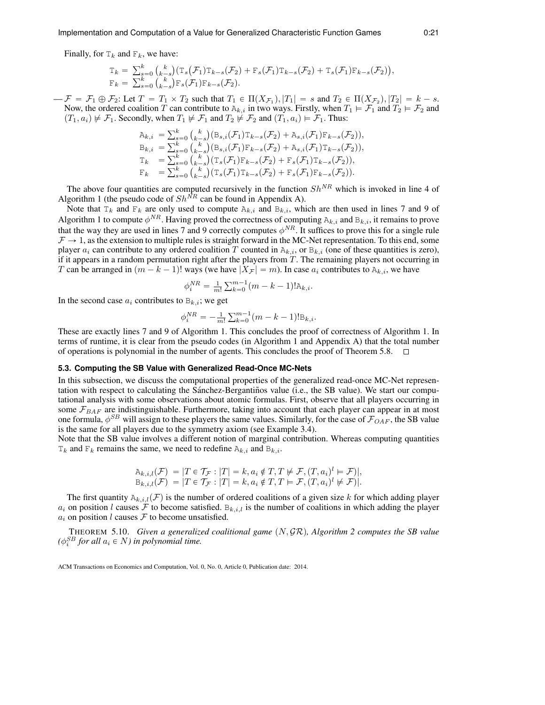Implementation and Computation of a Value for Generalized Characteristic Function Games 0:21

Finally, for  $T_k$  and  $F_k$ , we have:

$$
\mathbf{T}_{k} = \sum_{s=0}^{k} {k \choose k-s} (\mathbf{T}_{s}(\mathcal{F}_{1})\mathbf{T}_{k-s}(\mathcal{F}_{2}) + \mathbf{F}_{s}(\mathcal{F}_{1})\mathbf{T}_{k-s}(\mathcal{F}_{2}) + \mathbf{T}_{s}(\mathcal{F}_{1})\mathbf{F}_{k-s}(\mathcal{F}_{2})),
$$
  
\n
$$
\mathbf{F}_{k} = \sum_{s=0}^{k} {k \choose k-s} \mathbf{F}_{s}(\mathcal{F}_{1})\mathbf{F}_{k-s}(\mathcal{F}_{2}).
$$

 $\mathcal{F} = \mathcal{F}_1 \oplus \mathcal{F}_2$ : Let  $T = T_1 \times T_2$  such that  $T_1 \in \Pi(X_{\mathcal{F}_1}), |T_1| = s$  and  $T_2 \in \Pi(X_{\mathcal{F}_2}), |T_2| = k - s$ . Now, the ordered coalition T can contribute to  $A_{k,i}$  in two ways. Firstly, when  $T_1 \models \mathcal{F}_1$  and  $T_2 \models \mathcal{F}_2$  and  $(T_1, a_i) \neq \mathcal{F}_1$ . Secondly, when  $T_1 \not\models \mathcal{F}_1$  and  $T_2 \not\models \mathcal{F}_2$  and  $(T_1, a_i) \models \mathcal{F}_1$ . Thus:

$$
A_{k,i} = \sum_{s=0}^{k} {k \choose k-s} (B_{s,i}(\mathcal{F}_1) T_{k-s}(\mathcal{F}_2) + A_{s,i}(\mathcal{F}_1) F_{k-s}(\mathcal{F}_2)),
$$
  
\n
$$
B_{k,i} = \sum_{s=0}^{k} {k \choose k-s} (B_{s,i}(\mathcal{F}_1) F_{k-s}(\mathcal{F}_2) + A_{s,i}(\mathcal{F}_1) T_{k-s}(\mathcal{F}_2)),
$$
  
\n
$$
T_k = \sum_{s=0}^{k} {k \choose k-s} (T_s(\mathcal{F}_1) F_{k-s}(\mathcal{F}_2) + F_s(\mathcal{F}_1) T_{k-s}(\mathcal{F}_2)),
$$
  
\n
$$
F_k = \sum_{s=0}^{k} {k \choose k-s} (T_s(\mathcal{F}_1) T_{k-s}(\mathcal{F}_2) + F_s(\mathcal{F}_1) F_{k-s}(\mathcal{F}_2)).
$$

The above four quantities are computed recursively in the function  $Sh^{NR}$  which is invoked in line 4 of Algorithm 1 (the pseudo code of  $Sh^{\overline{N}R}$  can be found in Appendix A).

Note that  $T_k$  and  $F_k$  are only used to compute  $A_{k,i}$  and  $B_{k,i}$ , which are then used in lines 7 and 9 of Algorithm 1 to compute  $\phi^{NR}$ . Having proved the correctness of computing  $A_{k,i}$  and  $B_{k,i}$ , it remains to prove that the way they are used in lines 7 and 9 correctly computes  $\phi^{NR}$ . It suffices to prove this for a single rule  $\mathcal{F} \to 1$ , as the extension to multiple rules is straight forward in the MC-Net representation. To this end, some player  $a_i$  can contribute to any ordered coalition T counted in  $A_{k,i}$ , or  $B_{k,i}$  (one of these quantities is zero), if it appears in a random permutation right after the players from  $T$ . The remaining players not occurring in T can be arranged in  $(m - k - 1)!$  ways (we have  $|X_F| = m$ ). In case  $a_i$  contributes to  $A_{k,i}$ , we have

$$
\phi_i^{NR} = \frac{1}{m!} \sum_{k=0}^{m-1} (m - k - 1) \mathbb{I}_{k,i}.
$$

In the second case  $a_i$  contributes to  $B_{k,i}$ ; we get

$$
\phi_i^{NR} = -\frac{1}{m!} \sum_{k=0}^{m-1} (m - k - 1)! \mathbf{B}_{k,i}.
$$

These are exactly lines 7 and 9 of Algorithm 1. This concludes the proof of correctness of Algorithm 1. In terms of runtime, it is clear from the pseudo codes (in Algorithm 1 and Appendix A) that the total number of operations is polynomial in the number of agents. This concludes the proof of Theorem 5.8.  $\Box$ 

#### **5.3. Computing the SB Value with Generalized Read-Once MC-Nets**

In this subsection, we discuss the computational properties of the generalized read-once MC-Net representation with respect to calculating the Sánchez-Bergantiños value (i.e., the SB value). We start our computational analysis with some observations about atomic formulas. First, observe that all players occurring in some  $\mathcal{F}_{BAF}$  are indistinguishable. Furthermore, taking into account that each player can appear in at most one formula,  $\phi^{SB}$  will assign to these players the same values. Similarly, for the case of  $\mathcal{F}_{OAF}$ , the SB value is the same for all players due to the symmetry axiom (see Example 3.4).

Note that the SB value involves a different notion of marginal contribution. Whereas computing quantities  $T_k$  and  $F_k$  remains the same, we need to redefine  $A_{k,i}$  and  $B_{k,i}$ .

$$
A_{k,i,l}(\mathcal{F}) = |T \in \mathcal{T}_{\mathcal{F}} : |T| = k, a_i \notin T, T \not\in \mathcal{F}, (T, a_i)^l \in \mathcal{F}),
$$
  
\n
$$
B_{k,i,l}(\mathcal{F}) = |T \in \mathcal{T}_{\mathcal{F}} : |T| = k, a_i \notin T, T \in \mathcal{F}, (T, a_i)^l \notin \mathcal{F}).
$$

The first quantity  $A_{k,i,l}(\mathcal{F})$  is the number of ordered coalitions of a given size k for which adding player  $a_i$  on position l causes F to become satisfied.  $B_{k,i,l}$  is the number of coalitions in which adding the player  $a_i$  on position l causes  $\mathcal F$  to become unsatisfied.

THEOREM 5.10. *Given a generalized coalitional game*  $(N, \mathcal{GR})$ , Algorithm 2 computes the SB value  $(\phi_i^{SB}$  for all  $a_i \in N)$  in polynomial time.

ACM Transactions on Economics and Computation, Vol. 0, No. 0, Article 0, Publication date: 2014.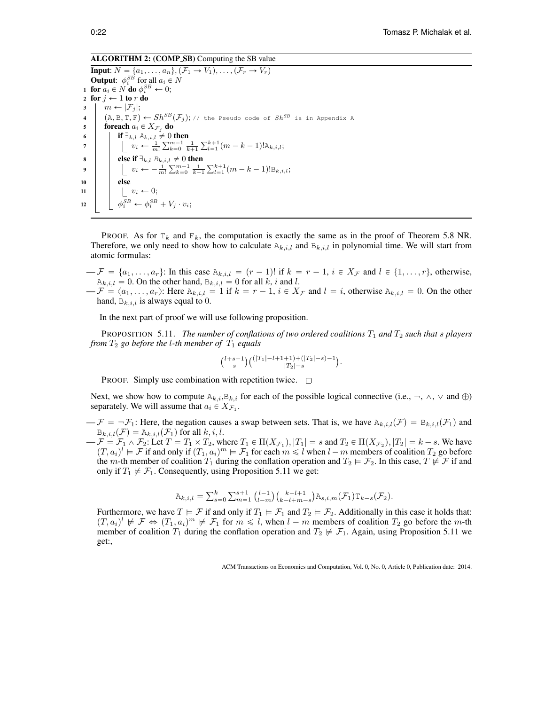### ALGORITHM 2: (COMP\_SB) Computing the SB value

**Input:**  $N = \{a_1, \ldots, a_n\}, (\mathcal{F}_1 \rightarrow V_1), \ldots, (\mathcal{F}_r \rightarrow V_r)$ **Output**:  $\phi_i^{SB}$  for all  $a_i \in N$ 1 for  $a_i \in N$  do  $\phi_i^{SB} \leftarrow 0;$ 2 for  $j \leftarrow 1$  to r do  $3 \mid m \leftarrow |\mathcal{F}_j|;$ 4  $(A, B, T, F) \leftarrow Sh^{SB}(\mathcal{F}_j);$  // the Pseudo code of  $Sh^{SB}$  is in Appendix A 5 foreach  $a_i \in X_{\mathcal{F}_i}$  do 6 **if**  $\exists_{k,l} A_{k,i,l} \neq 0$  then 6<br>  $\begin{array}{|c|c|c|c|c|}\n\hline\n\text{if} & \exists_{k,l} \ A_{k,i,l} \neq 0 \text{ then} \\
\hline\nv_i & \xrightarrow{1} \sum_{k=0}^{n-1} \frac{1}{k+1} \sum_{l=1}^{k+1} (m-k-1)! \Delta_{k,i,l};\n\hline\n\end{array}$ 8 else if  $\exists_{k,l} B_{k,i,l} \neq 0$  then **else if**  $\exists k, l \not k, i, l \neq 0$  **then**<br>  $v_i \leftarrow -\frac{1}{m!} \sum_{k=0}^{m-1} \frac{1}{k+1} \sum_{l=1}^{k+1} (m-k-1)! B_{k,i,l};$ 10 **else** 11 |  $v_i \leftarrow 0;$ 12  $\phi_i^{SB} \leftarrow \phi_i^{SB} + V_j \cdot v_i;$ 

PROOF. As for  $T_k$  and  $F_k$ , the computation is exactly the same as in the proof of Theorem 5.8 NR. Therefore, we only need to show how to calculate  $A_{k,i,l}$  and  $B_{k,i,l}$  in polynomial time. We will start from atomic formulas:

- $-\mathcal{F} = \{a_1, \ldots, a_r\}$ : In this case  $A_{k,i,l} = (r-1)!$  if  $k = r-1, i \in X_{\mathcal{F}}$  and  $l \in \{1, \ldots, r\}$ , otherwise,  $A_{k,i,l} = 0$ . On the other hand,  $B_{k,i,l} = 0$  for all k, i and l.
- $-\mathcal{F} = \langle a_1, \ldots, a_r \rangle$ : Here  $A_{k,i,l} = 1$  if  $k = r 1$ ,  $i \in X_{\mathcal{F}}$  and  $l = i$ , otherwise  $A_{k,i,l} = 0$ . On the other hand,  $B_{k,i,l}$  is always equal to 0.

In the next part of proof we will use following proposition.

PROPOSITION 5.11. *The number of conflations of two ordered coalitions*  $T_1$  *and*  $T_2$  *such that s players from*  $T_2$  *go before the l-th member of*  $T_1$  *equals* 

$$
{l+s-1\choose s} \Big({|T_1|-l+1+1\choose |T_2|-s}-1\Big).
$$

PROOF. Simply use combination with repetition twice.  $\square$ 

Next, we show how to compute  $A_{k,i},B_{k,i}$  for each of the possible logical connective (i.e.,  $\neg$ ,  $\wedge$ ,  $\vee$  and  $\oplus$ ) separately. We will assume that  $a_i \in X_{\mathcal{F}_1}$ .

- $-\mathcal{F} = -\mathcal{F}_1$ : Here, the negation causes a swap between sets. That is, we have  $A_{k,i,l}(\mathcal{F}) = B_{k,i,l}(\mathcal{F}_1)$  and  $B_{k,i,l}(\mathcal{F}) = A_{k,i,l}(\mathcal{F}_1)$  for all  $k, i, l$ .
- $\mathcal{F} = \mathcal{F}_1 \wedge \mathcal{F}_2$ : Let  $T = T_1 \times T_2$ , where  $T_1 \in \Pi(X_{\mathcal{F}_1}), |T_1| = s$  and  $T_2 \in \Pi(X_{\mathcal{F}_2}), |T_2| = k s$ . We have  $(T, a_i)^l \models \mathcal{F}$  if and only if  $(T_1, a_i)^m \models \mathcal{F}_1$  for each  $m \leq l$  when  $l - m$  members of coalition  $T_2$  go before the m-th member of coalition  $T_1$  during the conflation operation and  $T_2 \vDash F_2$ . In this case,  $T \nvDash F$  if and only if  $T_1 \not\models \mathcal{F}_1$ . Consequently, using Proposition 5.11 we get:

$$
A_{k,i,l} = \sum_{s=0}^{k} \sum_{m=1}^{s+1} {l-1 \choose l-m} {k-l+1 \choose k-l+m-s} A_{s,i,m}(\mathcal{F}_1) T_{k-s}(\mathcal{F}_2).
$$

Furthermore, we have  $T \models \mathcal{F}$  if and only if  $T_1 \models \mathcal{F}_1$  and  $T_2 \models \mathcal{F}_2$ . Additionally in this case it holds that:  $(T, a_i)^l \not\in \mathcal{F} \Leftrightarrow (T_1, a_i)^m \not\in \mathcal{F}_1$  for  $m \leq l$ , when  $l - m$  members of coalition  $T_2$  go before the m-th member of coalition  $T_1$  during the conflation operation and  $T_2 \not\in \mathcal{F}_1$ . Again, using Proposition 5.11 we get:,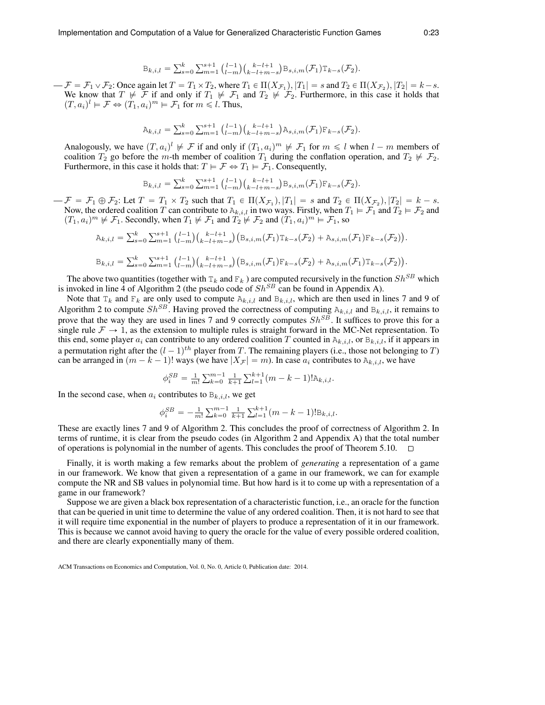$$
B_{k,i,l} = \sum_{s=0}^{k} \sum_{m=1}^{s+1} {l-1 \choose l-m} {k-l+1 \choose k-l+m-s} B_{s,i,m}(\mathcal{F}_1) T_{k-s}(\mathcal{F}_2).
$$

 $\mathcal{F} = \mathcal{F}_1 \vee \mathcal{F}_2$ : Once again let  $T = T_1 \times T_2$ , where  $T_1 \in \Pi(X_{\mathcal{F}_1}), |T_1| = s$  and  $T_2 \in \Pi(X_{\mathcal{F}_2}), |T_2| = k - s$ . We know that  $T \not\vdash \mathcal{F}$  if and only if  $T_1 \not\vdash \mathcal{F}_1$  and  $T_2 \not\vdash \mathcal{F}_2$ . Furthermore, in this case it holds that  $(T, a_i)^l \models \mathcal{F} \Leftrightarrow (T_1, a_i)^m \models \mathcal{F}_1$  for  $m \leq l$ . Thus,

$$
A_{k,i,l} = \sum_{s=0}^{k} \sum_{m=1}^{s+1} {l-1 \choose l-m} {k-l+1 \choose k-l+m-s} A_{s,i,m}(\mathcal{F}_1) F_{k-s}(\mathcal{F}_2).
$$

Analogously, we have  $(T, a_i)^l \neq \mathcal{F}$  if and only if  $(T_1, a_i)^m \neq \mathcal{F}_1$  for  $m \leq l$  when  $l - m$  members of coalition  $T_2$  go before the m-th member of coalition  $T_1$  during the conflation operation, and  $T_2 \not\models \mathcal{F}_2$ . Furthermore, in this case it holds that:  $T \models \mathcal{F} \Leftrightarrow T_1 \models \mathcal{F}_1$ . Consequently,

$$
B_{k,i,l} = \sum_{s=0}^{k} \sum_{m=1}^{s+1} {l-1 \choose l-m} {k-l+1 \choose k-l+m-s} B_{s,i,m}(\mathcal{F}_1) F_{k-s}(\mathcal{F}_2).
$$

 $\mathcal{F} = \mathcal{F}_1 \oplus \mathcal{F}_2$ : Let  $T = T_1 \times T_2$  such that  $T_1 \in \Pi(X_{\mathcal{F}_1}), |T_1| = s$  and  $T_2 \in \Pi(X_{\mathcal{F}_2}), |T_2| = k - s$ . Now, the ordered coalition T can contribute to  $A_{k,i,l}$  in two ways. Firstly, when  $T_1 \models \mathcal{F}_1$  and  $T_2 \models \mathcal{F}_2$  and  $(T_1, a_i)^m \neq \mathcal{F}_1$ . Secondly, when  $T_1 \not\models \mathcal{F}_1$  and  $T_2 \not\models \mathcal{F}_2$  and  $(T_1, a_i)^m \models \mathcal{F}_1$ , so

$$
A_{k,i,l} = \sum_{s=0}^{k} \sum_{m=1}^{s+1} {l-1 \choose l-m} {k-l+1 \choose k-l+m-s} (B_{s,i,m}(\mathcal{F}_1)T_{k-s}(\mathcal{F}_2) + A_{s,i,m}(\mathcal{F}_1)F_{k-s}(\mathcal{F}_2)).
$$
  
\n
$$
B_{k,i,l} = \sum_{s=0}^{k} \sum_{m=1}^{s+1} {l-1 \choose l-m} {k-l+1 \choose k-l+m-s} (B_{s,i,m}(\mathcal{F}_1)F_{k-s}(\mathcal{F}_2) + A_{s,i,m}(\mathcal{F}_1)T_{k-s}(\mathcal{F}_2)).
$$

The above two quantities (together with  $T_k$  and  $F_k$ ) are computed recursively in the function  $Sh^{SB}$  which is invoked in line 4 of Algorithm 2 (the pseudo code of  $Sh^{SB}$  can be found in Appendix A).

Note that  $T_k$  and  $F_k$  are only used to compute  $A_{k,i,l}$  and  $B_{k,i,l}$ , which are then used in lines 7 and 9 of Algorithm 2 to compute  $Sh^{SB}$ . Having proved the correctness of computing  $A_{k,i,l}$  and  $B_{k,i,l}$ , it remains to prove that the way they are used in lines 7 and 9 correctly computes  $Sh^{SB}$ . It suffices to prove this for a single rule  $\mathcal{F} \to 1$ , as the extension to multiple rules is straight forward in the MC-Net representation. To this end, some player  $a_i$  can contribute to any ordered coalition T counted in  $A_{k,i,l}$ , or  $B_{k,i,l}$ , if it appears in a permutation right after the  $(l - 1)^{th}$  player from T. The remaining players (i.e., those not belonging to T) can be arranged in  $(m - k - 1)!$  ways (we have  $|X_{\mathcal{F}}| = m$ ). In case  $a_i$  contributes to  $A_{k,i,l}$ , we have

$$
\phi_i^{SB} = \frac{1}{m!} \sum_{k=0}^{m-1} \frac{1}{k+1} \sum_{l=1}^{k+1} (m - k - 1) \mathbb{I}_{\mathcal{A}_{k,i,l}}.
$$

In the second case, when  $a_i$  contributes to  $B_{k,i,l}$ , we get

$$
\phi_i^{SB} = -\frac{1}{m!} \sum_{k=0}^{m-1} \frac{1}{k+1} \sum_{l=1}^{k+1} (m - k - 1) \text{IB}_{k,i,l}.
$$

These are exactly lines 7 and 9 of Algorithm 2. This concludes the proof of correctness of Algorithm 2. In terms of runtime, it is clear from the pseudo codes (in Algorithm 2 and Appendix A) that the total number of operations is polynomial in the number of agents. This concludes the proof of Theorem 5.10.  $\Box$ 

Finally, it is worth making a few remarks about the problem of *generating* a representation of a game in our framework. We know that given a representation of a game in our framework, we can for example compute the NR and SB values in polynomial time. But how hard is it to come up with a representation of a game in our framework?

Suppose we are given a black box representation of a characteristic function, i.e., an oracle for the function that can be queried in unit time to determine the value of any ordered coalition. Then, it is not hard to see that it will require time exponential in the number of players to produce a representation of it in our framework. This is because we cannot avoid having to query the oracle for the value of every possible ordered coalition, and there are clearly exponentially many of them.

ACM Transactions on Economics and Computation, Vol. 0, No. 0, Article 0, Publication date: 2014.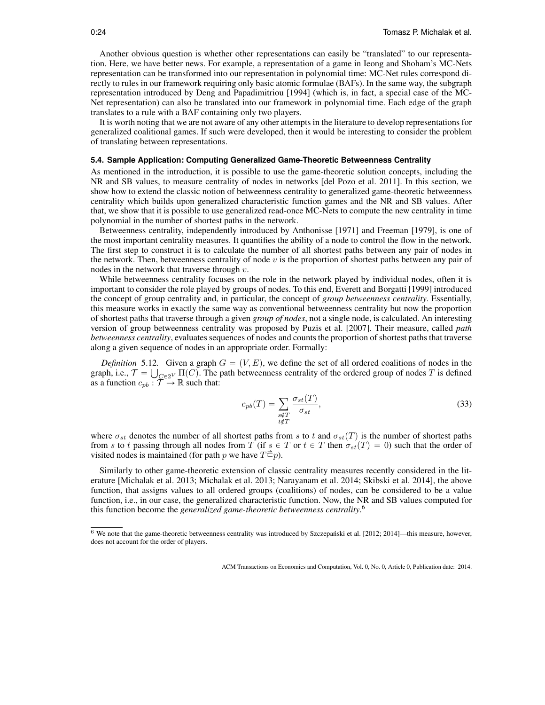Another obvious question is whether other representations can easily be "translated" to our representation. Here, we have better news. For example, a representation of a game in Ieong and Shoham's MC-Nets representation can be transformed into our representation in polynomial time: MC-Net rules correspond directly to rules in our framework requiring only basic atomic formulae (BAFs). In the same way, the subgraph representation introduced by Deng and Papadimitriou [1994] (which is, in fact, a special case of the MC-Net representation) can also be translated into our framework in polynomial time. Each edge of the graph translates to a rule with a BAF containing only two players.

It is worth noting that we are not aware of any other attempts in the literature to develop representations for generalized coalitional games. If such were developed, then it would be interesting to consider the problem of translating between representations.

### **5.4. Sample Application: Computing Generalized Game-Theoretic Betweenness Centrality**

As mentioned in the introduction, it is possible to use the game-theoretic solution concepts, including the NR and SB values, to measure centrality of nodes in networks [del Pozo et al. 2011]. In this section, we show how to extend the classic notion of betweenness centrality to generalized game-theoretic betweenness centrality which builds upon generalized characteristic function games and the NR and SB values. After that, we show that it is possible to use generalized read-once MC-Nets to compute the new centrality in time polynomial in the number of shortest paths in the network.

Betweenness centrality, independently introduced by Anthonisse [1971] and Freeman [1979], is one of the most important centrality measures. It quantifies the ability of a node to control the flow in the network. The first step to construct it is to calculate the number of all shortest paths between any pair of nodes in the network. Then, betweenness centrality of node  $v$  is the proportion of shortest paths between any pair of nodes in the network that traverse through  $v$ .

While betweenness centrality focuses on the role in the network played by individual nodes, often it is important to consider the role played by groups of nodes. To this end, Everett and Borgatti [1999] introduced the concept of group centrality and, in particular, the concept of *group betweenness centrality*. Essentially, this measure works in exactly the same way as conventional betweenness centrality but now the proportion of shortest paths that traverse through a given *group of nodes*, not a single node, is calculated. An interesting version of group betweenness centrality was proposed by Puzis et al. [2007]. Their measure, called *path betweenness centrality*, evaluates sequences of nodes and counts the proportion of shortest paths that traverse along a given sequence of nodes in an appropriate order. Formally:

*Definition* 5.12. Given a graph  $G = (V, E)$ , we define the set of all ordered coalitions of nodes in the graph, i.e.,  $\mathcal{T} = \bigcup_{C \in 2^V} \Pi(C)$ . The path betweenness centrality of the ordered group of nodes T is defined as a function  $c_{pb} : \tilde{\mathcal{T}} \to \mathbb{R}$  such that:

$$
c_{pb}(T) = \sum_{\substack{s \notin T \\ t \notin T}} \frac{\sigma_{st}(T)}{\sigma_{st}},\tag{33}
$$

where  $\sigma_{st}$  denotes the number of all shortest paths from s to t and  $\sigma_{st}(T)$  is the number of shortest paths from s to t passing through all nodes from T (if  $s \in T$  or  $t \in T$  then  $\sigma_{st}(T) = 0$ ) such that the order of visited nodes is maintained (for path p we have  $T\vec{\subseteq} p$ ).

Similarly to other game-theoretic extension of classic centrality measures recently considered in the literature [Michalak et al. 2013; Michalak et al. 2013; Narayanam et al. 2014; Skibski et al. 2014], the above function, that assigns values to all ordered groups (coalitions) of nodes, can be considered to be a value function, i.e., in our case, the generalized characteristic function. Now, the NR and SB values computed for this function become the *generalized game-theoretic betweenness centrality*. 6

<sup>&</sup>lt;sup>6</sup> We note that the game-theoretic betweenness centrality was introduced by Szczepański et al. [2012; 2014]—this measure, however, does not account for the order of players.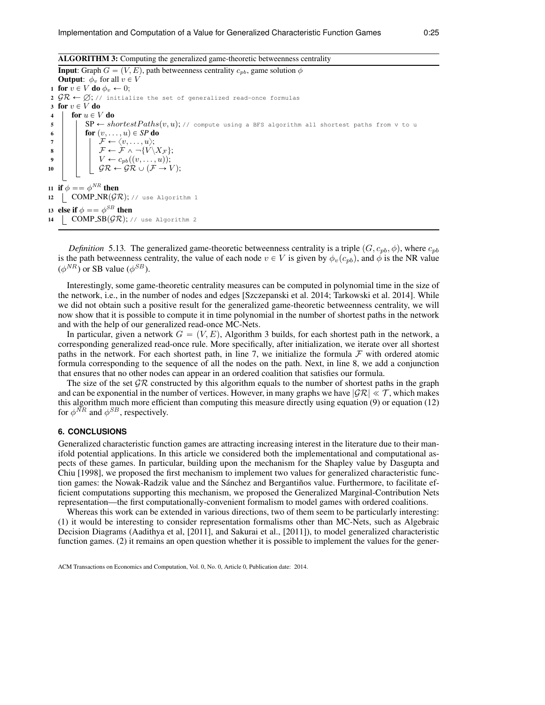ALGORITHM 3: Computing the generalized game-theoretic betweenness centrality **Input:** Graph  $G = (V, E)$ , path betweenness centrality  $c_{pb}$ , game solution  $\phi$ **Output:**  $\phi_v$  for all  $v \in V$ 1 for  $v \in V$  do  $\phi_v \leftarrow 0$ ; 2  $\mathcal{GR} \leftarrow \emptyset$ ; // initialize the set of generalized read-once formulas 3 for  $v \in V$  do 4 | for  $u \in V$  do  $\mathsf{s}$  | SP  $\leftarrow shortestPaths(v, u);$  // compute using a BFS algorithm all shortest paths from v to u 6 **for**  $(v, \ldots, u) \in SP$  **do**<br> $\uparrow \qquad \qquad$  **for**  $(v, \ldots, u) \in SP$  **do**  $\begin{array}{cc} \mathbf{7} & | & | & \mathcal{F} \leftarrow \langle v, \ldots, u \rangle; \end{array}$  $\begin{array}{|c|c|c|c|}\hline \mathbf{\$} & & \end{array} \begin{array}{|c|c|c|}\hline \mathbf{\$} & & \end{array} \begin{array}{c} \mathcal{F} \leftarrow \mathcal{F} \wedge \neg \{V \backslash X_\mathcal{F}\}; \end{array}$ 9 | |  $V \leftarrow c_{pb}((v, \ldots, u));$ 10  $\left|\right|$   $\left|\right|$   $\mathcal{GR} \leftarrow \mathcal{GR} \cup (\mathcal{F} \rightarrow V);$ 11 if  $\phi = \phi^{NR}$  then 12 | COMP\_NR $(\mathcal{GR});$  // use Algorithm 1 13 else if  $\phi == \phi^{SB}$  then | COMP  $SB(\mathcal{GR})$ ; // use Algorithm 2

*Definition* 5.13. The generalized game-theoretic betweenness centrality is a triple  $(G, c_{pb}, \phi)$ , where  $c_{pb}$ is the path betweenness centrality, the value of each node  $v \in V$  is given by  $\phi_v(c_{pb})$ , and  $\phi$  is the NR value  $(\phi^{NR})$  or SB value  $(\phi^{SB})$ .

Interestingly, some game-theoretic centrality measures can be computed in polynomial time in the size of the network, i.e., in the number of nodes and edges [Szczepanski et al. 2014; Tarkowski et al. 2014]. While we did not obtain such a positive result for the generalized game-theoretic betweenness centrality, we will now show that it is possible to compute it in time polynomial in the number of shortest paths in the network and with the help of our generalized read-once MC-Nets.

In particular, given a network  $G = (V, E)$ , Algorithm 3 builds, for each shortest path in the network, a corresponding generalized read-once rule. More specifically, after initialization, we iterate over all shortest paths in the network. For each shortest path, in line 7, we initialize the formula  $\mathcal F$  with ordered atomic formula corresponding to the sequence of all the nodes on the path. Next, in line 8, we add a conjunction that ensures that no other nodes can appear in an ordered coalition that satisfies our formula.

The size of the set  $\mathcal{GR}$  constructed by this algorithm equals to the number of shortest paths in the graph and can be exponential in the number of vertices. However, in many graphs we have  $|\mathcal{GR}| \ll T$ , which makes this algorithm much more efficient than computing this measure directly using equation (9) or equation (12) for  $\phi^{NR}$  and  $\phi^{SB}$ , respectively.

# **6. CONCLUSIONS**

Generalized characteristic function games are attracting increasing interest in the literature due to their manifold potential applications. In this article we considered both the implementational and computational aspects of these games. In particular, building upon the mechanism for the Shapley value by Dasgupta and Chiu [1998], we proposed the first mechanism to implement two values for generalized characteristic function games: the Nowak-Radzik value and the Sánchez and Bergantiños value. Furthermore, to facilitate efficient computations supporting this mechanism, we proposed the Generalized Marginal-Contribution Nets representation—the first computationally-convenient formalism to model games with ordered coalitions.

Whereas this work can be extended in various directions, two of them seem to be particularly interesting: (1) it would be interesting to consider representation formalisms other than MC-Nets, such as Algebraic Decision Diagrams (Aadithya et al, [2011], and Sakurai et al., [2011]), to model generalized characteristic function games. (2) it remains an open question whether it is possible to implement the values for the gener-

ACM Transactions on Economics and Computation, Vol. 0, No. 0, Article 0, Publication date: 2014.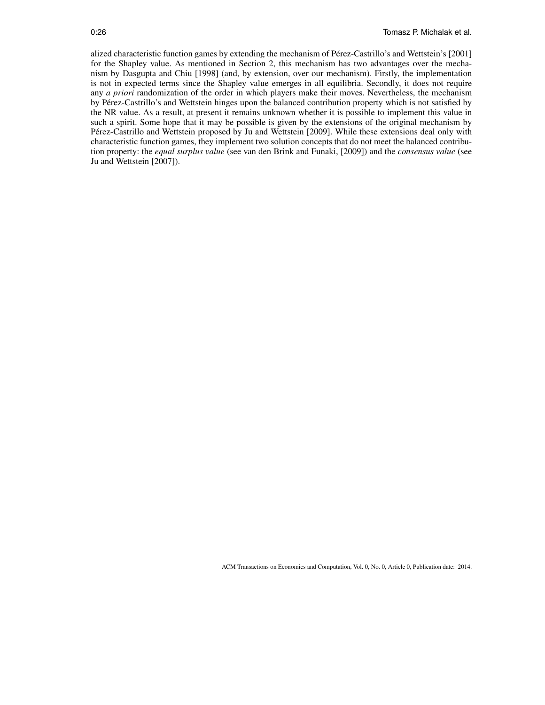alized characteristic function games by extending the mechanism of Perez-Castrillo's and Wettstein's [2001] ´ for the Shapley value. As mentioned in Section 2, this mechanism has two advantages over the mechanism by Dasgupta and Chiu [1998] (and, by extension, over our mechanism). Firstly, the implementation is not in expected terms since the Shapley value emerges in all equilibria. Secondly, it does not require any *a priori* randomization of the order in which players make their moves. Nevertheless, the mechanism by Pérez-Castrillo's and Wettstein hinges upon the balanced contribution property which is not satisfied by the NR value. As a result, at present it remains unknown whether it is possible to implement this value in such a spirit. Some hope that it may be possible is given by the extensions of the original mechanism by Pérez-Castrillo and Wettstein proposed by Ju and Wettstein [2009]. While these extensions deal only with characteristic function games, they implement two solution concepts that do not meet the balanced contribution property: the *equal surplus value* (see van den Brink and Funaki, [2009]) and the *consensus value* (see Ju and Wettstein [2007]).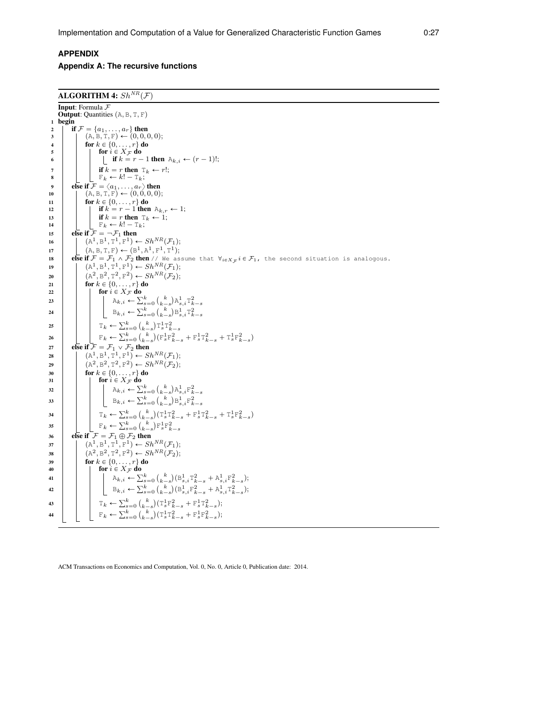# **APPENDIX**

**Appendix A: The recursive functions**

ALGORITHM 4:  $Sh^{NR}(\mathcal{F})$ 

```
Input: Formula F
        Output: Quantities (A, B, T, F)1 begin
 2 | if \mathcal{F} = \{a_1, \ldots, a_r\} then
   3 | (A, B, T, F) \leftarrow (0, 0, 0, 0);4 for k \in \{0, \ldots, r\} do
 \begin{array}{c|c|c|c} 5 & \text{for } i \in X_{\mathcal{F}} \textbf{do} \ \hline 6 & & \text{if } k = r - \ \end{array}if k = r - 1 then A_{k,i} \leftarrow (r - 1)!;
 \begin{array}{c|c|c|c} \hline \tau & \text{if } k=r \text{ then } \mathbb{T}_k \leftarrow r!; \ \hline \mathbb{F}_k & \leftarrow k!-\mathbb{T}_k; \end{array}\mathbf{F}_k \leftarrow k! - \mathbf{T}_k;9 else if \mathcal{F} = \langle a_1, \ldots, a_r \rangle then<br>10 \qquad \qquad | \quad (\text{A}, \text{B}, \text{T}, \text{F}) \leftarrow (0, 0, 0, 0)(A, B, T, F) \leftarrow (0, 0, 0, 0);11 for k \in \{0, ..., r\} do<br>12 if k = r - 1 then A_{k,r} \leftarrow 1;
 13<br>
14 \left| \begin{array}{r} \text{if } k = r \text{ then } \mathbb{T}_k \leftarrow 1; \\ \mathbb{F}_k \leftarrow k! - \mathbb{T}_k; \end{array} \right.15 else if \mathcal{F} = -\mathcal{F}_1 then
 16 \left[\begin{array}{c} A^1, B^1, \mathrm{T}^1, \mathrm{F}^1 \end{array}\right] \leftarrow Sh^{NR}(\mathcal{F}_1);17 | (A, B, T, F) \leftarrow (B^1, A^1, F^1, T^1);18 else if \mathcal{F} = \mathcal{F}_1 \wedge \mathcal{F}_2 then // We assume that \forall_{i \in X} f \in \mathcal{F}_1, the second situation is analogous.
 19 \left[\begin{array}{c} A^1, B^1, \mathrm{T}^1, \mathrm{F}^1 \end{array}\right] \leftarrow Sh^{NR}(\mathcal{F}_1);20 \left[\begin{array}{c} \left(\mathbb{A}^2,\mathbb{B}^2,\mathbb{T}^2,\mathbb{F}^2\right) \leftarrow Sh^{NR}(\mathcal{F}_2); \end{array}\right]21 for k \in \{0, \ldots, r\} do<br>
22 for i \in X_{\mathcal{F}} do
 22<br>
23 for i \in X_{\mathcal{F}} do<br>
\downarrow \qquad \qquad \uparrow k, i \leftarrow \sum_{s=0}^{k} {k \choose k-s})A_{s,i}^1T_{k-s}^224 B_{k,i} \leftarrow \sum_{s=0}^{R_{k,i}} {k-s \choose k-s} B_{s,i}^{1-k-s}<br>B<sub>k,i</sub> \leftarrow \sum_{s=0}^{k} {k \choose k-s} B_{s,i}^{1} T_{k-s}^{2}25 \begin{bmatrix} \begin{bmatrix} \begin{bmatrix} \begin{bmatrix} k \end{bmatrix} & \begin{bmatrix} k \end{bmatrix} \\ \begin{bmatrix} \begin{bmatrix} k \end{bmatrix} & \begin{bmatrix} k \end{bmatrix} \\ \end{bmatrix} \end{bmatrix} \end{bmatrix} \end{bmatrix}^{\prime}\int \mathbb{T}_s^1 \mathbb{T}_{k-s}^226<br>
26 \mathbb{E}_k \leftarrow \sum_{s=0}^k {k-s \choose k-s} (\mathbf{F}_s^1 \mathbf{F}_k^2 - s + \mathbf{F}_s^1 \mathbf{T}_{k-s}^2 + \mathbf{T}_s^1 \mathbf{F}_{k-s}^2)27 else if \mathcal{F} = \mathcal{F}_1 \vee \mathcal{F}_2 then
 28 \left| \left| (\mathbb{A}^1, \mathbb{B}^1, \mathbb{T}^1, \mathbb{F}^1) \leftarrow Sh^{NR}(\mathcal{F}_1);29 \left[\begin{array}{c} A^2, B^2, T^2, F^2 \end{array}\right] \leftarrow Sh^{NR}(\mathcal{F}_2);30 for k \in \{0, \ldots, r\} do<br>31 for i \in X_{\mathcal{F}} do
 31<br>
32 for i \in X \neq \mathbf{d}o<br>
\downarrow \qquad \qquad \uparrow k, i \leftarrow \sum_{s=0}^{k} {k \choose k-s}A^1_{s,i}F^2_{k-s}33 B_{k,i} \leftarrow \sum_{s=0}^{k} {k \choose k-s}<br>B_{k,i} \leftarrow \sum_{s=0}^{k} {k \choose k-s}\overline{ }\mathbb{B}_{s,i}^1\mathbb{F}_{k-s}^234 \begin{bmatrix} \mathbf{L} & \mathbf{L} & \mathbf{L} & \mathbf{L} & \mathbf{L} \\ \mathbf{L} & \mathbf{R} & \mathbf{L} & \mathbf{L} & \mathbf{L} \\ \mathbf{T}_k & \mathbf{L} & \mathbf{L} & \mathbf{L} & \mathbf{L} \\ \end{bmatrix}^{\prime}\int (T_s^1 T_{k-s}^2 + F_s^1 T_{k-s}^2 + T_s^1 F_{k-s}^2)35 \begin{bmatrix} k & -\sum_{s=0}^{k} {k-s}^{1+s+k-1} \\ \mathbb{F}_k & \leftarrow \sum_{s=0}^{k} {k \choose k-s} \mathbb{F}_s^1 \mathbb{F}_{k-s}^2 \end{bmatrix}36 else if \mathcal{F} = \mathcal{F}_1 \oplus \mathcal{F}_2 then
 37 | (A^1, B^1, T^1, F^1) \leftarrow Sh^{NR}(\mathcal{F}_1);38 \left[\begin{array}{c} A^2, B^2, T^2, F^2 \end{array}\right] \leftarrow Sh^{NR}(\mathcal{F}_2);39 for k \in \{0, \ldots, r\} do<br>40 for i \in X_{\overline{x}} do
                                            for i \in X_{\mathcal{F}} do
 40 for i \in X_{\mathcal{F}} do<br>
A_{k,i} \leftarrow \sum_{s=0}^{k} {k \choose k-s}(\mathbb{B}^1_{s,i}\mathbb{T}^2_{k-s} + \mathbb{A}^1_{s,i}\mathbb{F}^2_{k-s});42 B_{k,i} \leftarrow \sum_{s=0}^{k} {k-s \choose k-s}<br>Bk,i \leftarrow \sum_{s=0}^{k} {k \choose k-s}\overline{y}(\mathbb{B}_{s,i}^1 \mathbb{F}_{k-s}^2 + \mathbb{A}_{s,i}^1 \mathbb{T}_{k-s}^2);43 \begin{bmatrix} \begin{bmatrix} \begin{bmatrix} \begin{bmatrix} k \end{bmatrix} & \begin{bmatrix} k \end{bmatrix} \\ \begin{bmatrix} \mathbf{T}_k & \begin{bmatrix} k \end{bmatrix} & \begin{bmatrix} k \end{bmatrix} \\ \end{bmatrix} \end{bmatrix} \end{bmatrix} \end{bmatrix}˘
                                                                                              (\mathbf{T}_{s}^{1}\mathbf{F}_{k-s}^{2} + \mathbf{F}_{s}^{1}\mathbf{T}_{k-s}^{2});44 \begin{bmatrix} \n\frac{1}{k} & \sum_{s=0}^{k} \binom{k}{k-s} \binom{1}{s} \frac{r}{k-s} & \frac{r}{s} \frac{r}{k-s}, \\ \n\frac{r}{k} & \sum_{s=0}^{k} \binom{k}{k-s} \binom{1}{s} \frac{r}{k-s} & \frac{1}{s} \frac{r}{k-s}, \\ \n\end{bmatrix}
```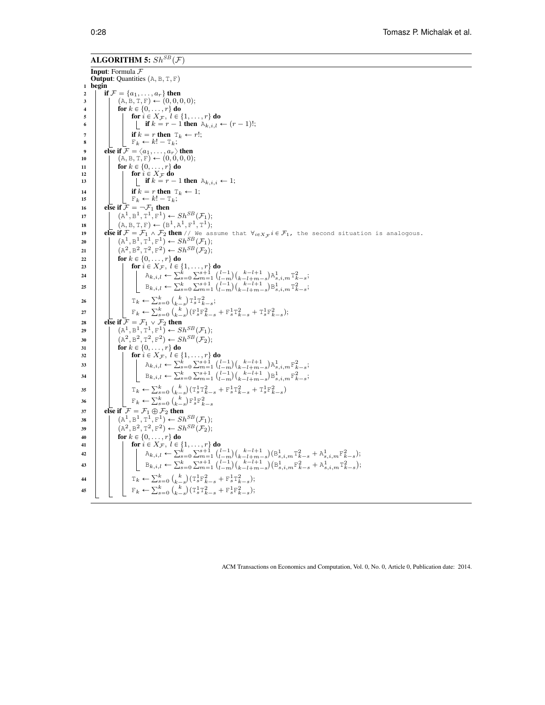## ALGORITHM 5:  $Sh^{SB}(\mathcal{F})$

Input: Formula F **Output:** Quantities  $(A, B, T, F)$ <sup>1</sup> begin 2 if  $\mathcal{F} = \{a_1, ..., a_r\}$  then<br>3  $\downarrow$   $(A, B, T, F) \leftarrow (0, 0, 0)$  $(A, B, T, F) \leftarrow (0, 0, 0, 0);$ 4 for  $k \in \{0, \ldots, r\}$  do<br>  $\begin{array}{|c|c|c|c|} \hline \textbf{for} & k \in \{0, \ldots, r\} \textbf{for} \\ \hline \textbf{for} & i \in X_{\mathcal{F}}, \ l \in \{ \end{array}$ 5 **for**  $i \in X_{\mathcal{F}}, i \in \{1, ..., r\}$  do<br>6 **for**  $i \in X_{\mathcal{F}}, i \in \{1, ..., r\}$  do **if**  $k = r - 1$  then  $A_{k,i,l} \leftarrow (r-1)!$ ;  $\begin{array}{c|c|c|c|c} \hline \tau & \text{if } k = r \text{ then } \mathbb{T}_k \leftarrow r!; \ \hline \mathbf{s} & \text{if } k \leftarrow k! - \mathbb{T}_k; \end{array}$  $\Gamma_k \leftarrow k! - \mathbf{T}_k;$  $9$  else if  $\mathcal{F} = \langle a_1, \ldots, a_r \rangle$  then 10 |  $(A, B, T, F) \leftarrow (0, 0, 0, 0);$ 11 for  $k \in \{0, \ldots, r\}$  do<br>
12 for  $i \in X \neq$  do for  $i \in X_{\mathcal{F}}$  do 13 if  $k = r - 1$  then  $A_{k,i,i} \leftarrow 1;$ 14 if  $k = r$  then  $T_k \leftarrow 1$ ;<br>  $F_k \leftarrow k! - T_k$ ;  $F_k \leftarrow k! - T_k;$ 16 else if  $\mathcal{F} = -\mathcal{F}_1$  then 17  $\left[\begin{array}{c} A^1, B^1, \mathbb{T}^1, \mathbb{F}^1 \end{array}\right] \leftarrow Sh^{SB}(\mathcal{F}_1);$ 18 |  $(A, B, T, F) \leftarrow (B^1, A^1, F^1, T^1);$ 19 **else if**  $\mathcal{F} = \mathcal{F}_1 \wedge \mathcal{F}_2$  then  $\text{log}(\mathcal{F})$  we assume that  $\forall_{i \in X} \neq i \in \mathcal{F}_1$ , the second situation is analogous. 20  $\left[\begin{array}{c} \left(\mathbb{A}^1,\mathbb{B}^1,\mathbb{T}^1,\mathbb{F}^1\right) \leftarrow Sh^{SB}(\mathcal{F}_1); \end{array}\right]$ 21  $\left[\begin{array}{c} A^2, B^2, T^2, F^2 \end{array}\right] \leftarrow Sh^{SB}(\mathcal{F}_2);$ 22 **for**  $k \in \{0, ..., r\}$  do 23 **for**  $i \in X_{\mathcal{F}}, l \in \{1, \ldots, r\}$  do 23<br>
24 **br**  $i \in X_{\mathcal{F}}, i \in \{1, ..., r\}$  **do**<br>  $\begin{array}{c} \text{for } i \in \{1, ..., r\} \\ \text{A}_{k}, i, l \leftarrow \sum_{s=0}^{k} \sum_{m=1}^{s+1} {l-m \choose l-m} {k-l+1 \choose k-l+m-s} \end{array}$  $A^1_{s,i,m}$   $T^2_{k-s}$ ; 25  $B_{k,i,l} \leftarrow \sum_{s=0}^{k} \sum_{m=1}^{s+1}$  $\binom{l-m}{l-m}\binom{k-l+m-s}{k-l+m-s}$  $\overline{ }$  $\mathbb{B}^1_{s,i,m}\mathbb{T}_{k-s}^2;$ 26  $\begin{bmatrix} \mathbb{L} & \mathbb{L} & \mathbb{L} & \mathbb{L} \\ \mathbb{T}_k & \leftarrow & \sum_{s=0}^k \binom{k}{k-s} \end{bmatrix}$ ˘  $\int \mathbf{T}_s^1 \mathbf{T}_{k-s}^2;$ 20<br>
27  $\left[\begin{array}{c} {}^{1}k \leftarrow \sum_{s=0}^{N} {k-s}^{1} {s}^{1} {k-s}, \\ {\Gamma}_{k} \leftarrow \sum_{s=0}^{k} {k-s}^{1} {\Gamma}_{s}^{1} {\Gamma}_{k-s}^{2} + {\Gamma}_{s}^{1} {\Gamma}_{k-s}^{2} + {\Gamma}_{s}^{1} {\Gamma}_{k-s}^{2} \right); \end{array}\right]$ 28 else if  $\overline{\mathcal{F}} = \mathcal{F}_1 \vee \mathcal{F}_2$  then 29  $\left| \left( \mathbb{A}^1, \mathbb{B}^1, \mathbb{T}^1, \mathbb{F}^1 \right) \leftarrow Sh^{SB}(\mathcal{F}_1);$ 30  $\left[\begin{array}{c} A^2, B^2, T^2, F^2 \end{array}\right] \leftarrow Sh^{SB}(\mathcal{F}_2);$ 31 **for**  $k \in \{0, ..., r\}$  do 32 **for**  $i \in X_{\mathcal{F}}, l \in \{1, \ldots, r\}$  do 32<br>
33 **IOP**  $i \in X_{\mathcal{F}}, i \in \{1, ..., r\}$ <br>  $\downarrow \qquad \qquad \downarrow \qquad \downarrow \qquad \downarrow \qquad \downarrow \qquad \downarrow \qquad \downarrow \qquad \downarrow \qquad \downarrow \qquad \downarrow \qquad \downarrow \qquad \downarrow \qquad \downarrow \qquad \downarrow \qquad \downarrow \qquad \downarrow \qquad \downarrow \qquad \downarrow \qquad \downarrow \qquad \downarrow \qquad \downarrow \qquad \downarrow \qquad \downarrow \qquad \downarrow \qquad \downarrow \qquad \downarrow \qquad \downarrow \qquad \downarrow \qquad \downarrow \qquad \downarrow \$ lo $\binom{l-1}{l-m}\binom{k-l+1}{k-l+m-s}$  $A^1_{s,i,m}F^2_{k-s};$ 34  $B_{k,i,l} \leftarrow \sum_{s=0}^{k} \sum_{m=1}^{s+1}$  $\binom{l-m}{l-m}\binom{k-l+m-s}{k-l+m-s}$  $\overline{y}$  $\sum_{m=1}^{s+1} {l-1 \choose l-m} {k-l+1 \choose k-l+m-s} B^1_{s,i,m} F^2_{k-s};$ 35  $\left[\begin{array}{c} \n\frac{1}{2} & \n\frac{1}{2} & \n\frac{1}{2} & \n\frac{1}{2} & \n\frac{1}{2} & \n\frac{1}{2} & \n\frac{1}{2} & \n\frac{1}{2} & \n\frac{1}{2} & \n\frac{1}{2} & \n\frac{1}{2} & \n\frac{1}{2} & \n\frac{1}{2} & \n\frac{1}{2} & \n\frac{1}{2} & \n\frac{1}{2} & \n\frac{1}{2} & \n\frac{1}{2} & \n\frac{1}{2} & \n\frac{1}{2} & \n\frac{1}{2$ 36  $\begin{bmatrix} k & -\sum_{s=0}^{k} {k-s} \end{bmatrix} \begin{bmatrix} 1 & s & k- \ \sum_{s=0}^{k} {k-s} \end{bmatrix}$ 37 else if  $\mathcal{F} = \mathcal{F}_1 \oplus \mathcal{F}_2$  then 38  $\left| \left[ (\mathbb{A}^1, \mathbb{B}^1, \mathbb{T}^1, \mathbb{F}^1) \leftarrow Sh^{SB}(\mathcal{F}_1);$ 39  $\left[\begin{array}{c} A^2, B^2, T^2, F^2 \end{array}\right] \leftarrow Sh^{SB}(\mathcal{F}_2);$ 40 **for**  $k \in \{0, ..., r\}$  do 41 **for**  $i \in X_{\mathcal{F}}, l \in \{1, \ldots, r\}$  do 41<br>
42 **a b f**  $i \in \{1, ..., r\}$  **do**<br>  $A_{k,i,l} \leftarrow \sum_{s=0}^{k} \sum_{m=1}^{s+1} {l-1 \choose l-m} {k-l+1 \choose k-l+m-s}$  $(\mathbb{B}^1_{s,i,m}\mathbb{T}^2_{k-s} + \mathbb{A}^1_{s,i,m}\mathbb{F}^2_{k-s});$ 43  $B_{k,i,l} \leftarrow \sum_{s=0}^{k} \sum_{m=1}^{s+1}$  $\binom{l-m}{l-m}\binom{k-l+m-s}{k-l+m-s}$ ˘` $\mathbf{B}^1_{s,i,m}\mathbf{F}^2_{k-s} + \mathbf{A}^1_{s,i,m}\mathbf{T}^2_{k-s}$ ˘ ; 44  $\begin{pmatrix} 1 & k \\ 1 & k \end{pmatrix}$   $\begin{pmatrix} 1 & k \\ 1 & k \end{pmatrix}$ ˘  $(T_s^1F_{k-s}^2 + F_s^1T_{k-s}^2);$ 45  $\begin{bmatrix} k & -\sum_{s=0}^{k} k_{-s} \\ \mathbb{F}_{k} & \sum_{s=0}^{k} {k_{-s} \\ \end{bmatrix}$  $\overline{ }$  $(T_s^1 T_{k-s}^2 + F_s^1 F_{k-s}^2);$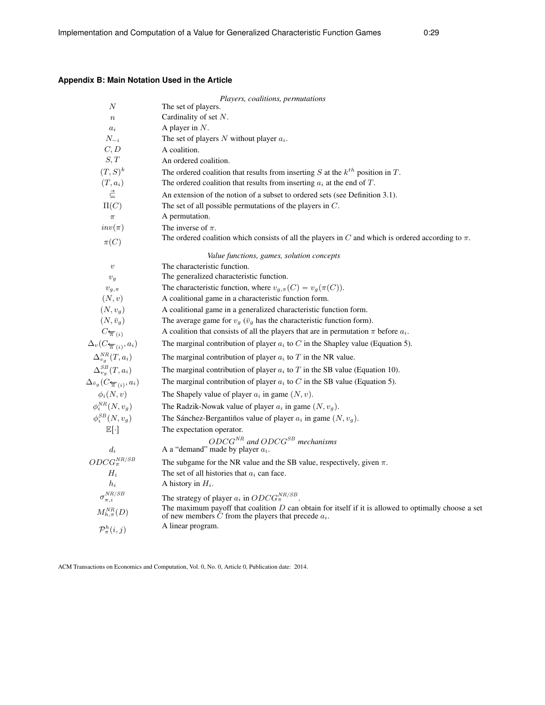# **Appendix B: Main Notation Used in the Article**

|                                                                    | <i>Players, coalitions, permutations</i>                                                                                                                                   |  |  |  |
|--------------------------------------------------------------------|----------------------------------------------------------------------------------------------------------------------------------------------------------------------------|--|--|--|
| Ν                                                                  | The set of players.                                                                                                                                                        |  |  |  |
| $\boldsymbol{n}$                                                   | Cardinality of set $N$ .                                                                                                                                                   |  |  |  |
| $a_i$                                                              | A player in $N$ .                                                                                                                                                          |  |  |  |
| $N_{-i}$                                                           | The set of players $N$ without player $a_i$ .                                                                                                                              |  |  |  |
| C, D                                                               | A coalition.                                                                                                                                                               |  |  |  |
| S, T                                                               | An ordered coalition.                                                                                                                                                      |  |  |  |
| $(T, S)^k$                                                         | The ordered coalition that results from inserting $S$ at the $k^{th}$ position in $T$ .                                                                                    |  |  |  |
| $(T,a_i)$                                                          | The ordered coalition that results from inserting $a_i$ at the end of $T$ .                                                                                                |  |  |  |
| $\vec{\subseteq}$                                                  | An extension of the notion of a subset to ordered sets (see Definition 3.1).                                                                                               |  |  |  |
| $\Pi(C)$                                                           | The set of all possible permutations of the players in $C$ .                                                                                                               |  |  |  |
| $\pi$                                                              | A permutation.                                                                                                                                                             |  |  |  |
| $inv(\pi)$                                                         | The inverse of $\pi$ .                                                                                                                                                     |  |  |  |
| $\pi(C)$                                                           | The ordered coalition which consists of all the players in C and which is ordered according to $\pi$ .                                                                     |  |  |  |
|                                                                    | Value functions, games, solution concepts                                                                                                                                  |  |  |  |
| $\boldsymbol{v}$                                                   | The characteristic function.                                                                                                                                               |  |  |  |
| $v_g$                                                              | The generalized characteristic function.                                                                                                                                   |  |  |  |
| $v_{g,\pi}$                                                        | The characteristic function, where $v_{g,\pi}(C) = v_g(\pi(C)).$                                                                                                           |  |  |  |
| (N, v)                                                             | A coalitional game in a characteristic function form.                                                                                                                      |  |  |  |
| $(N, v_g)$                                                         | A coalitional game in a generalized characteristic function form.                                                                                                          |  |  |  |
| $(N, \bar{v}_g)$                                                   | The average game for $v_g$ ( $\bar{v}_g$ has the characteristic function form).                                                                                            |  |  |  |
| $C_{\overline{\pi}(i)}$                                            | A coalition that consists of all the players that are in permutation $\pi$ before $a_i$ .                                                                                  |  |  |  |
| $\Delta_v(C_{\overline{\pi}(i)},a_i)$                              | The marginal contribution of player $a_i$ to C in the Shapley value (Equation 5).                                                                                          |  |  |  |
| $\Delta_{v_a}^{NR}(T,a_i)$                                         | The marginal contribution of player $a_i$ to $T$ in the NR value.                                                                                                          |  |  |  |
| $\Delta_{v_q}^{SB}(T,a_i)$                                         | The marginal contribution of player $a_i$ to T in the SB value (Equation 10).                                                                                              |  |  |  |
| $\Delta_{\bar{v}_g}\left(C_{\overleftarrow{\pi}_{(i)}},a_i\right)$ | The marginal contribution of player $a_i$ to C in the SB value (Equation 5).                                                                                               |  |  |  |
| $\phi_i(N,v)$                                                      | The Shapely value of player $a_i$ in game $(N, v)$ .                                                                                                                       |  |  |  |
| $\phi_i^{NR}(N, v_q)$                                              | The Radzik-Nowak value of player $a_i$ in game $(N, v_g)$ .                                                                                                                |  |  |  |
| $\phi_i^{SB}(N, v_g)$                                              | The Sánchez-Bergantiños value of player $a_i$ in game $(N, v_g)$ .                                                                                                         |  |  |  |
| $\mathbb{E}[\cdot]$                                                | The expectation operator.                                                                                                                                                  |  |  |  |
|                                                                    | $ODCGNR$ and $ODCGSB$ mechanisms                                                                                                                                           |  |  |  |
| $d_i$                                                              | A a "demand" made by player $a_i$ .                                                                                                                                        |  |  |  |
| $ODCG_{\pi}^{NR/SB}$                                               | The subgame for the NR value and the SB value, respectively, given $\pi$ .                                                                                                 |  |  |  |
| $H_i$                                                              | The set of all histories that $a_i$ can face.                                                                                                                              |  |  |  |
| $h_i$                                                              | A history in $H_i$ .                                                                                                                                                       |  |  |  |
| $\sigma_{\pi,i}^{\mathit{NR}/\mathit{SB}}$                         | The strategy of player $a_i$ in $ODCG_{\pi}^{NR/SB}$ .                                                                                                                     |  |  |  |
| $M_{h,\pi}^{NR}(D)$                                                | The maximum payoff that coalition $D$ can obtain for itself if it is allowed to optimally choose a set<br>of new members $\tilde{C}$ from the players that precede $a_i$ . |  |  |  |
| $\mathcal{P}^h_{\pi}(i,j)$                                         | A linear program.                                                                                                                                                          |  |  |  |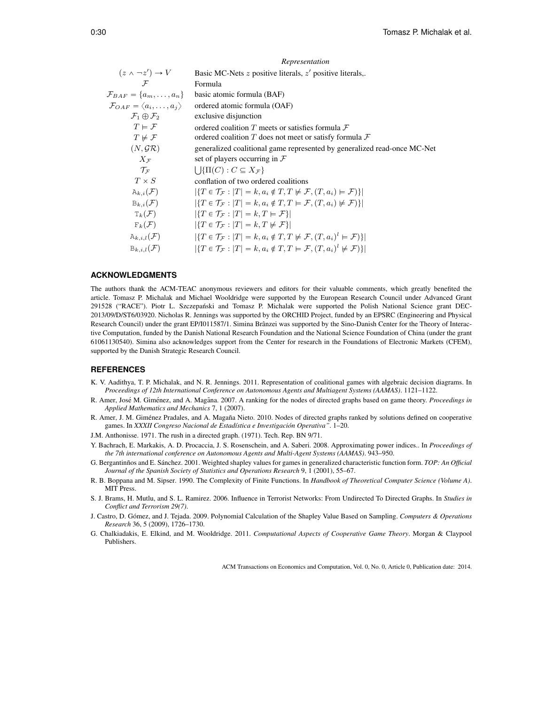| $(z \wedge \neg z') \rightarrow V$                     | Basic MC-Nets $z$ positive literals, $z'$ positive literals,.                                                              |
|--------------------------------------------------------|----------------------------------------------------------------------------------------------------------------------------|
| $\mathcal{F}$                                          | Formula                                                                                                                    |
| $\mathcal{F}_{BAF} = \{a_m, \ldots, a_n\}$             | basic atomic formula (BAF)                                                                                                 |
| $\mathcal{F}_{OAF} = \langle a_i, \ldots, a_j \rangle$ | ordered atomic formula (OAF)                                                                                               |
| $\mathcal{F}_1 \oplus \mathcal{F}_2$                   | exclusive disjunction                                                                                                      |
| $T \models F$                                          | ordered coalition T meets or satisfies formula $\mathcal F$                                                                |
| $T \not\models \mathcal{F}$                            | ordered coalition T does not meet or satisfy formula $\mathcal F$                                                          |
| $(N, \mathcal{G}\mathcal{R})$                          | generalized coalitional game represented by generalized read-once MC-Net                                                   |
| $X \tau$                                               | set of players occurring in $\mathcal F$                                                                                   |
| $\tau_{\scriptscriptstyle \mathcal{F}}$                | $\downharpoonright \{\Pi(C): C \subseteq X_{\mathcal{F}}\}\$                                                               |
| $T \times S$                                           | conflation of two ordered coalitions                                                                                       |
| $A_{k,i}(\mathcal{F})$                                 | $ \{T \in \mathcal{T}_{\mathcal{F}} :  T  = k, a_i \notin T, T \not\models \mathcal{F}, (T, a_i) \models \mathcal{F}\} $   |
| $B_{k,i}(\mathcal{F})$                                 | $ \{T \in \mathcal{T}_{\mathcal{F}} :  T  = k, a_i \notin T, T \models \mathcal{F}, (T, a_i) \not\models \mathcal{F}\} $   |
| $T_k(\mathcal{F})$                                     | $ \{T \in \mathcal{T}_{\mathcal{F}} :  T  = k, T \models \mathcal{F}\} $                                                   |
| $F_k(\mathcal{F})$                                     | $ \{T \in \mathcal{T}_{\mathcal{F}} :  T  = k, T \not\models \mathcal{F}\} $                                               |
| $A_{k,i,l}(\mathcal{F})$                               | $ \{T \in \mathcal{T}_{\mathcal{F}} :  T  = k, a_i \notin T, T \not\models \mathcal{F}, (T, a_i)^l \models \mathcal{F}\} $ |
| $B_{k,i,l}(\mathcal{F})$                               | $ \{T \in \mathcal{T}_{\mathcal{F}} :  T  = k, a_i \notin T, T \models \mathcal{F}, (T, a_i)^l \not\models \mathcal{F}\} $ |

*Representation*

# **ACKNOWLEDGMENTS**

The authors thank the ACM-TEAC anonymous reviewers and editors for their valuable comments, which greatly benefited the article. Tomasz P. Michalak and Michael Wooldridge were supported by the European Research Council under Advanced Grant 291528 ("RACE"). Piotr L. Szczepanski and Tomasz P. Michalak were supported the Polish National Science grant DEC- ´ 2013/09/D/ST6/03920. Nicholas R. Jennings was supported by the ORCHID Project, funded by an EPSRC (Engineering and Physical Research Council) under the grant EP/I011587/1. Simina Brânzei was supported by the Sino-Danish Center for the Theory of Interactive Computation, funded by the Danish National Research Foundation and the National Science Foundation of China (under the grant 61061130540). Simina also acknowledges support from the Center for research in the Foundations of Electronic Markets (CFEM), supported by the Danish Strategic Research Council.

#### **REFERENCES**

- K. V. Aadithya, T. P. Michalak, and N. R. Jennings. 2011. Representation of coalitional games with algebraic decision diagrams. In *Proceedings of 12th International Conference on Autonomous Agents and Multiagent Systems (AAMAS)*. 1121–1122.
- R. Amer, José M. Giménez, and A. Magãna. 2007. A ranking for the nodes of directed graphs based on game theory. Proceedings in *Applied Mathematics and Mechanics* 7, 1 (2007).
- R. Amer, J. M. Giménez Pradales, and A. Magaña Nieto. 2010. Nodes of directed graphs ranked by solutions defined on cooperative games. In *XXXII Congreso Nacional de Estad´ıstica e Investigacion Operativa" ´* . 1–20.
- J.M. Anthonisse. 1971. The rush in a directed graph. (1971). Tech. Rep. BN 9/71.
- Y. Bachrach, E. Markakis, A. D. Procaccia, J. S. Rosenschein, and A. Saberi. 2008. Approximating power indices.. In *Proceedings of the 7th international conference on Autonomous Agents and Multi-Agent Systems (AAMAS)*. 943–950.
- G. Bergantinnos and E. Sánchez. 2001. Weighted shapley values for games in generalized characteristic function form. TOP: An Official *Journal of the Spanish Society of Statistics and Operations Research* 9, 1 (2001), 55–67.
- R. B. Boppana and M. Sipser. 1990. The Complexity of Finite Functions. In *Handbook of Theoretical Computer Science (Volume A)*. MIT Press.
- S. J. Brams, H. Mutlu, and S. L. Ramirez. 2006. Influence in Terrorist Networks: From Undirected To Directed Graphs. In *Studies in Conflict and Terrorism 29(7)*.
- J. Castro, D. Gómez, and J. Tejada. 2009. Polynomial Calculation of the Shapley Value Based on Sampling. Computers & Operations *Research* 36, 5 (2009), 1726–1730.
- G. Chalkiadakis, E. Elkind, and M. Wooldridge. 2011. *Computational Aspects of Cooperative Game Theory*. Morgan & Claypool Publishers.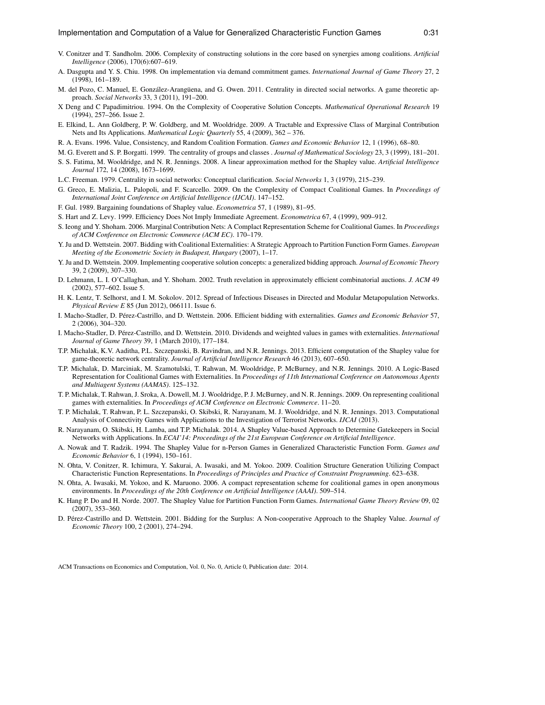- V. Conitzer and T. Sandholm. 2006. Complexity of constructing solutions in the core based on synergies among coalitions. *Artificial Intelligence* (2006), 170(6):607–619.
- A. Dasgupta and Y. S. Chiu. 1998. On implementation via demand commitment games. *International Journal of Game Theory* 27, 2 (1998), 161–189.
- M. del Pozo, C. Manuel, E. González-Arangüena, and G. Owen. 2011. Centrality in directed social networks. A game theoretic approach. *Social Networks* 33, 3 (2011), 191–200.
- X Deng and C Papadimitriou. 1994. On the Complexity of Cooperative Solution Concepts. *Mathematical Operational Research* 19 (1994), 257–266. Issue 2.
- E. Elkind, L. Ann Goldberg, P. W. Goldberg, and M. Wooldridge. 2009. A Tractable and Expressive Class of Marginal Contribution Nets and Its Applications. *Mathematical Logic Quarterly* 55, 4 (2009), 362 – 376.
- R. A. Evans. 1996. Value, Consistency, and Random Coalition Formation. *Games and Economic Behavior* 12, 1 (1996), 68–80.
- M. G. Everett and S. P. Borgatti. 1999. The centrality of groups and classes . *Journal of Mathematical Sociology* 23, 3 (1999), 181–201.
- S. S. Fatima, M. Wooldridge, and N. R. Jennings. 2008. A linear approximation method for the Shapley value. *Artificial Intelligence Journal* 172, 14 (2008), 1673–1699.
- L.C. Freeman. 1979. Centrality in social networks: Conceptual clarification. *Social Networks* 1, 3 (1979), 215–239.
- G. Greco, E. Malizia, L. Palopoli, and F. Scarcello. 2009. On the Complexity of Compact Coalitional Games. In *Proceedings of International Joint Conference on Artificial Intelligence (IJCAI)*. 147–152.
- F. Gul. 1989. Bargaining foundations of Shapley value. *Econometrica* 57, 1 (1989), 81–95.
- S. Hart and Z. Levy. 1999. Efficiency Does Not Imply Immediate Agreement. *Econometrica* 67, 4 (1999), 909–912.
- S. Ieong and Y. Shoham. 2006. Marginal Contribution Nets: A Complact Representation Scheme for Coalitional Games. In *Proceedings of ACM Conference on Electronic Commerce (ACM EC)*. 170–179.
- Y. Ju and D. Wettstein. 2007. Bidding with Coalitional Externalities: A Strategic Approach to Partition Function Form Games. *European Meeting of the Econometric Society in Budapest, Hungary* (2007), 1–17.
- Y. Ju and D. Wettstein. 2009. Implementing cooperative solution concepts: a generalized bidding approach. *Journal of Economic Theory* 39, 2 (2009), 307–330.
- D. Lehmann, L. I. O'Callaghan, and Y. Shoham. 2002. Truth revelation in approximately efficient combinatorial auctions. *J. ACM* 49 (2002), 577–602. Issue 5.
- H. K. Lentz, T. Selhorst, and I. M. Sokolov. 2012. Spread of Infectious Diseases in Directed and Modular Metapopulation Networks. *Physical Review E* 85 (Jun 2012), 066111. Issue 6.
- I. Macho-Stadler, D. Perez-Castrillo, and D. Wettstein. 2006. Efficient bidding with externalities. ´ *Games and Economic Behavior* 57, 2 (2006), 304–320.
- I. Macho-Stadler, D. Pérez-Castrillo, and D. Wettstein. 2010. Dividends and weighted values in games with externalities. *International Journal of Game Theory* 39, 1 (March 2010), 177–184.
- T.P. Michalak, K.V. Aaditha, P.L. Szczepanski, B. Ravindran, and N.R. Jennings. 2013. Efficient computation of the Shapley value for game-theoretic network centrality. *Journal of Artificial Intelligence Research* 46 (2013), 607–650.
- T.P. Michalak, D. Marciniak, M. Szamotulski, T. Rahwan, M. Wooldridge, P. McBurney, and N.R. Jennings. 2010. A Logic-Based Representation for Coalitional Games with Externalities. In *Proceedings of 11th International Conference on Autonomous Agents and Multiagent Systems (AAMAS)*. 125–132.
- T. P. Michalak, T. Rahwan, J. Sroka, A. Dowell, M. J. Wooldridge, P. J. McBurney, and N. R. Jennings. 2009. On representing coalitional games with externalities. In *Proceedings of ACM Conference on Electronic Commerce*. 11–20.
- T. P. Michalak, T. Rahwan, P. L. Szczepanski, O. Skibski, R. Narayanam, M. J. Wooldridge, and N. R. Jennings. 2013. Computational Analysis of Connectivity Games with Applications to the Investigation of Terrorist Networks. *IJCAI* (2013).
- R. Narayanam, O. Skibski, H. Lamba, and T.P. Michalak. 2014. A Shapley Value-based Approach to Determine Gatekeepers in Social Networks with Applications. In *ECAI'14: Proceedings of the 21st European Conference on Artificial Intelligence*.
- A. Nowak and T. Radzik. 1994. The Shapley Value for n-Person Games in Generalized Characteristic Function Form. *Games and Economic Behavior* 6, 1 (1994), 150–161.
- N. Ohta, V. Conitzer, R. Ichimura, Y. Sakurai, A. Iwasaki, and M. Yokoo. 2009. Coalition Structure Generation Utilizing Compact Characteristic Function Representations. In *Proceedings of Principles and Practice of Constraint Programming*. 623–638.
- N. Ohta, A. Iwasaki, M. Yokoo, and K. Maruono. 2006. A compact representation scheme for coalitional games in open anonymous environments. In *Proceedings of the 20th Conference on Artificial Intelligence (AAAI)*. 509–514.
- K. Hang P. Do and H. Norde. 2007. The Shapley Value for Partition Function Form Games. *International Game Theory Review* 09, 02 (2007), 353–360.
- D. Pérez-Castrillo and D. Wettstein. 2001. Bidding for the Surplus: A Non-cooperative Approach to the Shapley Value. *Journal of Economic Theory* 100, 2 (2001), 274–294.